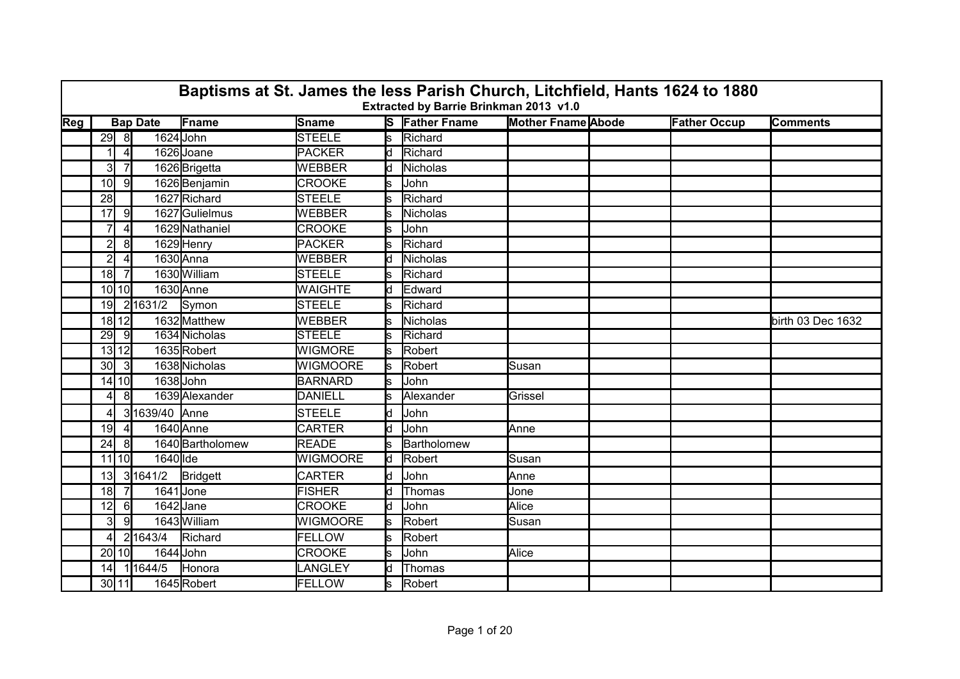|     | Baptisms at St. James the less Parish Church, Litchfield, Hants 1624 to 1880<br>Extracted by Barrie Brinkman 2013 v1.0<br><b>Mother Fname Abode</b><br><b>Bap Date</b> |                |               |                  |                 |     |                       |         |  |                     |                   |  |  |
|-----|------------------------------------------------------------------------------------------------------------------------------------------------------------------------|----------------|---------------|------------------|-----------------|-----|-----------------------|---------|--|---------------------|-------------------|--|--|
| Reg |                                                                                                                                                                        |                |               | Fname            | <b>Sname</b>    |     | <b>S</b> Father Fname |         |  | <b>Father Occup</b> | <b>Comments</b>   |  |  |
|     |                                                                                                                                                                        | $29$ 8         | 1624 John     |                  | <b>STEELE</b>   | s   | Richard               |         |  |                     |                   |  |  |
|     |                                                                                                                                                                        | $\overline{4}$ |               | 1626 Joane       | <b>PACKER</b>   | ld  | Richard               |         |  |                     |                   |  |  |
|     | 3 <sup>l</sup>                                                                                                                                                         | $\overline{7}$ |               | 1626 Brigetta    | <b>WEBBER</b>   | ld  | Nicholas              |         |  |                     |                   |  |  |
|     | 10 <sup>1</sup>                                                                                                                                                        | -91            |               | 1626 Benjamin    | <b>CROOKE</b>   |     | John                  |         |  |                     |                   |  |  |
|     | 28                                                                                                                                                                     |                |               | 1627 Richard     | <b>STEELE</b>   | S   | Richard               |         |  |                     |                   |  |  |
|     | 17                                                                                                                                                                     | 9              |               | 1627Gulielmus    | WEBBER          | s   | <b>Nicholas</b>       |         |  |                     |                   |  |  |
|     | $\overline{7}$                                                                                                                                                         |                |               | 1629 Nathaniel   | <b>CROOKE</b>   | s   | John                  |         |  |                     |                   |  |  |
|     | $\mathbf{2}$                                                                                                                                                           | 8              |               | 1629 Henry       | PACKER          |     | Richard               |         |  |                     |                   |  |  |
|     | $\overline{2}$                                                                                                                                                         | 4              |               | 1630 Anna        | WEBBER          | ld. | Nicholas              |         |  |                     |                   |  |  |
|     | 18 <sup>1</sup>                                                                                                                                                        | 7              |               | 1630 William     | <b>STEELE</b>   | s   | Richard               |         |  |                     |                   |  |  |
|     |                                                                                                                                                                        | $10$ $10$      |               | 1630 Anne        | <b>WAIGHTE</b>  | ld. | Edward                |         |  |                     |                   |  |  |
|     | 19 <sup>°</sup>                                                                                                                                                        |                | 2 1631/2      | Symon            | <b>STEELE</b>   | ls. | Richard               |         |  |                     |                   |  |  |
|     |                                                                                                                                                                        | $18$   $12$    |               | 1632 Matthew     | WEBBER          |     | <b>Nicholas</b>       |         |  |                     | birth 03 Dec 1632 |  |  |
|     | 29                                                                                                                                                                     | -91            |               | 1634 Nicholas    | <b>STEELE</b>   | Ś   | Richard               |         |  |                     |                   |  |  |
|     |                                                                                                                                                                        | 13 12          |               | 1635Robert       | <b>WIGMORE</b>  | ls. | Robert                |         |  |                     |                   |  |  |
|     | 30 <sup>l</sup>                                                                                                                                                        | -31            |               | 1638 Nicholas    | <b>WIGMOORE</b> | ls. | Robert                | Susan   |  |                     |                   |  |  |
|     |                                                                                                                                                                        | 14 10          | 1638 John     |                  | <b>BARNARD</b>  | s   | John                  |         |  |                     |                   |  |  |
|     | 41                                                                                                                                                                     | 8              |               | 1639 Alexander   | DANIELL         |     | Alexander             | Grissel |  |                     |                   |  |  |
|     | 4                                                                                                                                                                      |                | 31639/40 Anne |                  | <b>STEELE</b>   | d   | John                  |         |  |                     |                   |  |  |
|     | 19                                                                                                                                                                     | $\vert$        |               | 1640 Anne        | <b>CARTER</b>   | d   | <b>John</b>           | Anne    |  |                     |                   |  |  |
|     | 24                                                                                                                                                                     | 81             |               | 1640 Bartholomew | <b>READE</b>    |     | Bartholomew           |         |  |                     |                   |  |  |
|     |                                                                                                                                                                        | 11 10          | $1640$ lde    |                  | <b>WIGMOORE</b> | ld. | Robert                | Susan   |  |                     |                   |  |  |
|     | 13 <sup>1</sup>                                                                                                                                                        |                | 3 1641/2      | Bridgett         | <b>CARTER</b>   | d   | John                  | Anne    |  |                     |                   |  |  |
|     | 18                                                                                                                                                                     |                | 1641 Jone     |                  | <b>FISHER</b>   | d   | Thomas                | Jone    |  |                     |                   |  |  |
|     | 12                                                                                                                                                                     | 61             | 1642Jane      |                  | <b>CROOKE</b>   | d   | John                  | Alice   |  |                     |                   |  |  |
|     | 3I                                                                                                                                                                     | 9              |               | 1643 William     | <b>WIGMOORE</b> | ls. | Robert                | Susan   |  |                     |                   |  |  |
|     | $\overline{4}$                                                                                                                                                         |                | 21643/4       | Richard          | <b>FELLOW</b>   | ls. | Robert                |         |  |                     |                   |  |  |
|     |                                                                                                                                                                        | 20 10          | 1644 John     |                  | <b>CROOKE</b>   | S   | John                  | Alice   |  |                     |                   |  |  |
|     | 14                                                                                                                                                                     |                | 11644/5       | Honora           | LANGLEY         | k.  | Thomas                |         |  |                     |                   |  |  |
|     |                                                                                                                                                                        | 30 11          |               | 1645Robert       | <b>FELLOW</b>   | s   | Robert                |         |  |                     |                   |  |  |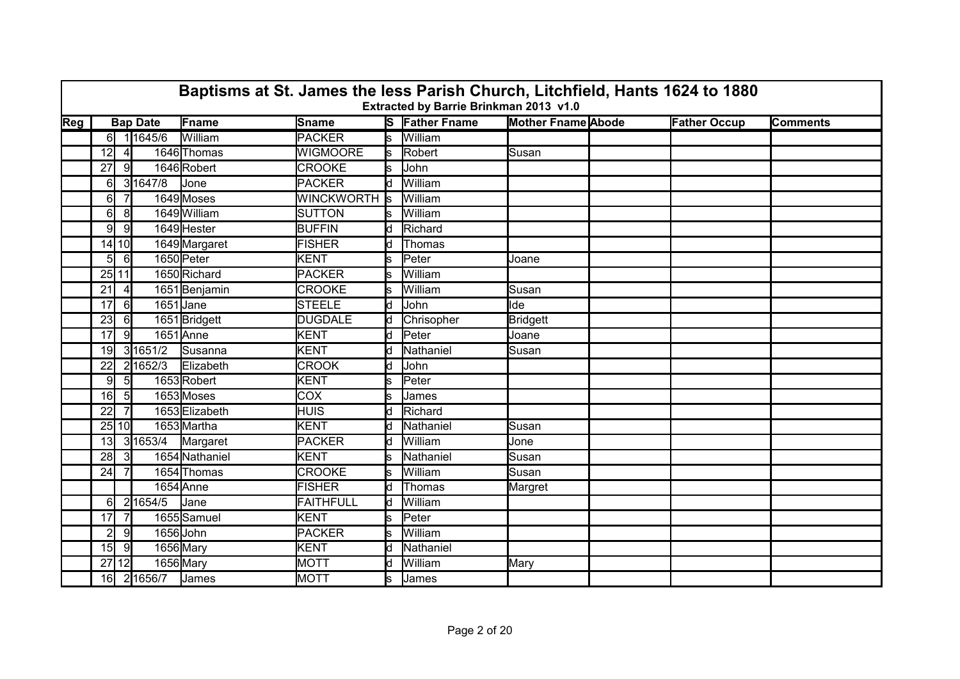|     | Baptisms at St. James the less Parish Church, Litchfield, Hants 1624 to 1880<br>Extracted by Barrie Brinkman 2013 v1.0 |                |                 |                |                   |     |                       |                           |  |                     |                 |  |
|-----|------------------------------------------------------------------------------------------------------------------------|----------------|-----------------|----------------|-------------------|-----|-----------------------|---------------------------|--|---------------------|-----------------|--|
| Reg |                                                                                                                        |                | <b>Bap Date</b> | Fname          | <b>Sname</b>      |     | <b>S</b> Father Fname | <b>Mother Fname Abode</b> |  | <b>Father Occup</b> | <b>Comments</b> |  |
|     |                                                                                                                        |                | 6 1 1645/6      | William        | <b>PACKER</b>     | ls  | William               |                           |  |                     |                 |  |
|     | 12                                                                                                                     |                |                 | 1646 Thomas    | <b>WIGMOORE</b>   | ls  | Robert                | Susan                     |  |                     |                 |  |
|     | 27                                                                                                                     | -91            |                 | 1646 Robert    | <b>CROOKE</b>     | s   | John                  |                           |  |                     |                 |  |
|     | 61                                                                                                                     |                | 31647/8         | <b>Jone</b>    | <b>PACKER</b>     | d   | William               |                           |  |                     |                 |  |
|     | 6                                                                                                                      | 7              |                 | 1649 Moses     | <b>WINCKWORTH</b> | ls. | William               |                           |  |                     |                 |  |
|     | 61                                                                                                                     | 8              |                 | 1649 William   | <b>SUTTON</b>     | ls. | William               |                           |  |                     |                 |  |
|     | 9 <sup>l</sup>                                                                                                         | -91            |                 | 1649 Hester    | <b>BUFFIN</b>     | d   | Richard               |                           |  |                     |                 |  |
|     |                                                                                                                        | 14 10          |                 | 1649 Margaret  | <b>FISHER</b>     | d   | <b>Thomas</b>         |                           |  |                     |                 |  |
|     | 51                                                                                                                     | $6 \mid$       |                 | 1650 Peter     | <b>KENT</b>       | s   | Peter                 | Joane                     |  |                     |                 |  |
|     |                                                                                                                        | 25 11          |                 | 1650 Richard   | <b>PACKER</b>     | s   | William               |                           |  |                     |                 |  |
|     | 21                                                                                                                     | $\vert$        |                 | 1651 Benjamin  | <b>CROOKE</b>     | s   | William               | Susan                     |  |                     |                 |  |
|     | 17                                                                                                                     | $6 \mid$       | 1651 Jane       |                | <b>STEELE</b>     | d   | John                  | lde                       |  |                     |                 |  |
|     | 23                                                                                                                     | $6 \mid$       |                 | 1651 Bridgett  | <b>DUGDALE</b>    | d   | Chrisopher            | <b>Bridgett</b>           |  |                     |                 |  |
|     | 17 <sup>1</sup>                                                                                                        | 9              |                 | 1651 Anne      | <b>KENT</b>       | ld. | Peter                 | Joane                     |  |                     |                 |  |
|     | 19                                                                                                                     |                | 3 1651/2        | Susanna        | <b>KENT</b>       | d   | Nathaniel             | Susan                     |  |                     |                 |  |
|     | 22                                                                                                                     |                | 21652/3         | Elizabeth      | <b>CROOK</b>      | d   | John                  |                           |  |                     |                 |  |
|     | 91                                                                                                                     | -5I            |                 | 1653Robert     | <b>KENT</b>       | s   | Peter                 |                           |  |                     |                 |  |
|     | 16 <sup>l</sup>                                                                                                        | 5 <sub>l</sub> |                 | 1653 Moses     | COX               | s   | James                 |                           |  |                     |                 |  |
|     | 22                                                                                                                     |                |                 | 1653 Elizabeth | <b>HUIS</b>       | d   | Richard               |                           |  |                     |                 |  |
|     |                                                                                                                        | 25 10          |                 | 1653 Martha    | KENT              | ld. | Nathaniel             | Susan                     |  |                     |                 |  |
|     | 13 <sup>l</sup>                                                                                                        |                | 31653/4         | Margaret       | <b>PACKER</b>     | h   | William               | Jone                      |  |                     |                 |  |
|     | 28                                                                                                                     | -3I            |                 | 1654 Nathaniel | <b>KENT</b>       | s.  | Nathaniel             | Susan                     |  |                     |                 |  |
|     | 24                                                                                                                     |                |                 | 1654 Thomas    | <b>CROOKE</b>     | s   | William               | Susan                     |  |                     |                 |  |
|     |                                                                                                                        |                |                 | 1654 Anne      | <b>FISHER</b>     | ld. | <b>Thomas</b>         | Margret                   |  |                     |                 |  |
|     | 61                                                                                                                     |                | 21654/5         | Jane           | <b>FAITHFULL</b>  | d   | William               |                           |  |                     |                 |  |
|     | 17                                                                                                                     | 7              |                 | 1655 Samuel    | KENT              | s.  | Peter                 |                           |  |                     |                 |  |
|     | $\overline{2}$                                                                                                         | 9              | 1656 John       |                | <b>PACKER</b>     | s   | William               |                           |  |                     |                 |  |
|     | 15                                                                                                                     | -9             | 1656 Mary       |                | <b>KENT</b>       | d   | Nathaniel             |                           |  |                     |                 |  |
|     |                                                                                                                        | 27 12          |                 | 1656 Mary      | <b>MOTT</b>       | d   | William               | Mary                      |  |                     |                 |  |
|     | 16                                                                                                                     |                | 21656/7         | James          | <b>MOTT</b>       | s   | James                 |                           |  |                     |                 |  |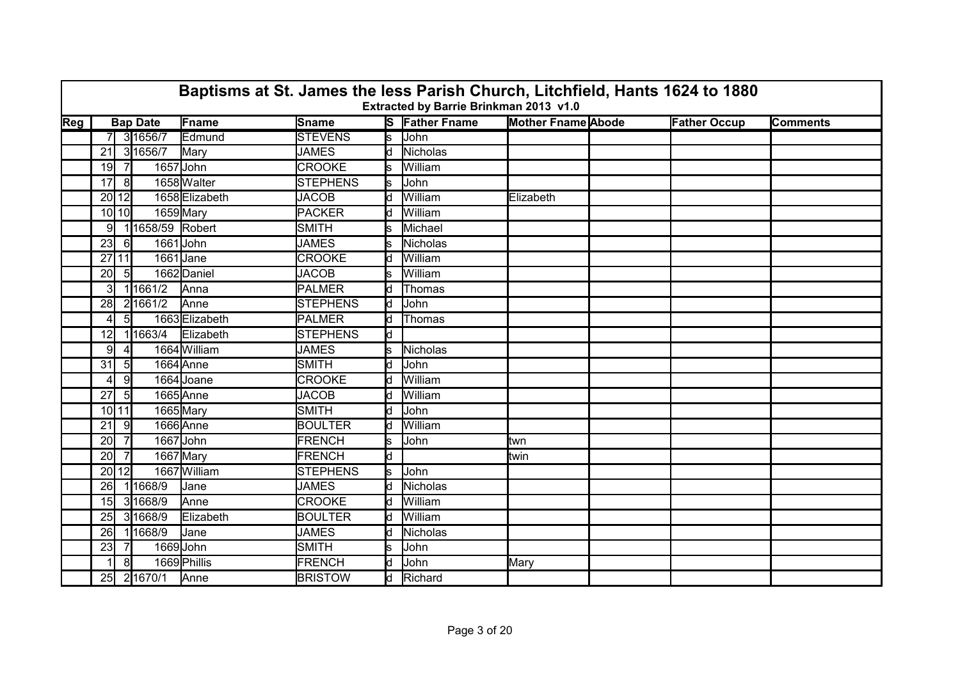|     | Baptisms at St. James the less Parish Church, Litchfield, Hants 1624 to 1880<br>Extracted by Barrie Brinkman 2013 v1.0<br><b>Mother Fname Abode</b><br><b>Bap Date</b> |                 |                 |                |                 |     |                       |           |  |                     |                 |  |
|-----|------------------------------------------------------------------------------------------------------------------------------------------------------------------------|-----------------|-----------------|----------------|-----------------|-----|-----------------------|-----------|--|---------------------|-----------------|--|
| Reg |                                                                                                                                                                        |                 |                 | Fname          | Sname           |     | <b>S</b> Father Fname |           |  | <b>Father Occup</b> | <b>Comments</b> |  |
|     |                                                                                                                                                                        |                 | 7 3 1656 7      | Edmund         | <b>STEVENS</b>  | ls. | <b>John</b>           |           |  |                     |                 |  |
|     | 21                                                                                                                                                                     |                 | 31656/7         | Mary           | <b>JAMES</b>    | ld  | Nicholas              |           |  |                     |                 |  |
|     | 19                                                                                                                                                                     | $\overline{7}$  | 1657 John       |                | <b>CROOKE</b>   | s   | William               |           |  |                     |                 |  |
|     | 17                                                                                                                                                                     | 8               |                 | 1658 Walter    | <b>STEPHENS</b> |     | John                  |           |  |                     |                 |  |
|     | $20$   12                                                                                                                                                              |                 |                 | 1658 Elizabeth | <b>JACOB</b>    | d   | William               | Elizabeth |  |                     |                 |  |
|     | $10$ 10                                                                                                                                                                |                 | 1659 Mary       |                | <b>PACKER</b>   | ld. | William               |           |  |                     |                 |  |
|     | 9                                                                                                                                                                      |                 | 11658/59 Robert |                | <b>SMITH</b>    | s   | Michael               |           |  |                     |                 |  |
|     | 23                                                                                                                                                                     | -61             | 1661John        |                | <b>JAMES</b>    |     | <b>Nicholas</b>       |           |  |                     |                 |  |
|     | 27 11                                                                                                                                                                  |                 | 1661 Jane       |                | <b>CROOKE</b>   | d   | William               |           |  |                     |                 |  |
|     | 20 <sup>1</sup>                                                                                                                                                        | -5I             |                 | 1662 Daniel    | <b>JACOB</b>    | s   | William               |           |  |                     |                 |  |
|     | 31                                                                                                                                                                     |                 | 11661/2         | Anna           | <b>PALMER</b>   | d   | Thomas                |           |  |                     |                 |  |
|     | 28                                                                                                                                                                     |                 | 21661/2         | Anne           | <b>STEPHENS</b> | d   | John                  |           |  |                     |                 |  |
|     | 41                                                                                                                                                                     | $5 \vert$       |                 | 1663 Elizabeth | <b>PALMER</b>   | d   | Thomas                |           |  |                     |                 |  |
|     | 12                                                                                                                                                                     |                 | 11663/4         | Elizabeth      | <b>STEPHENS</b> | ld. |                       |           |  |                     |                 |  |
|     | 91                                                                                                                                                                     |                 |                 | 1664 William   | <b>JAMES</b>    | s   | <b>Nicholas</b>       |           |  |                     |                 |  |
|     | 31                                                                                                                                                                     | $5\overline{)}$ |                 | 1664 Anne      | <b>SMITH</b>    | d   | John                  |           |  |                     |                 |  |
|     | 41                                                                                                                                                                     | -91             |                 | 1664 Joane     | <b>CROOKE</b>   | d   | William               |           |  |                     |                 |  |
|     | 27                                                                                                                                                                     | $5 \vert$       |                 | 1665Anne       | <b>JACOB</b>    | d   | William               |           |  |                     |                 |  |
|     | 10 11                                                                                                                                                                  |                 | 1665 Mary       |                | <b>SMITH</b>    | d   | John                  |           |  |                     |                 |  |
|     | 21                                                                                                                                                                     | -9              |                 | 1666 Anne      | <b>BOULTER</b>  | ld. | William               |           |  |                     |                 |  |
|     | 20                                                                                                                                                                     | 7               | 1667 John       |                | <b>FRENCH</b>   | s   | John                  | ltwn      |  |                     |                 |  |
|     | 20                                                                                                                                                                     |                 | 1667 Mary       |                | <b>FRENCH</b>   | d   |                       | twin      |  |                     |                 |  |
|     | 20 12                                                                                                                                                                  |                 |                 | 1667 William   | <b>STEPHENS</b> | ls. | John                  |           |  |                     |                 |  |
|     | 26                                                                                                                                                                     |                 | 11668/9         | Jane           | <b>JAMES</b>    | d   | Nicholas              |           |  |                     |                 |  |
|     | 15 <sup>1</sup>                                                                                                                                                        |                 | 31668/9         | Anne           | <b>CROOKE</b>   | d   | William               |           |  |                     |                 |  |
|     | 25                                                                                                                                                                     |                 | 3 1668/9        | Elizabeth      | <b>BOULTER</b>  | ld. | William               |           |  |                     |                 |  |
|     | 26                                                                                                                                                                     |                 | 11668/9         | Jane           | <b>JAMES</b>    | ld. | Nicholas              |           |  |                     |                 |  |
|     | 23                                                                                                                                                                     |                 | 1669 John       |                | SMITH           | s   | John                  |           |  |                     |                 |  |
|     |                                                                                                                                                                        | 8 <sup>1</sup>  |                 | 1669 Phillis   | <b>FRENCH</b>   | d   | John                  | Mary      |  |                     |                 |  |
|     | 25                                                                                                                                                                     |                 | 2 1670/1        | Anne           | <b>BRISTOW</b>  |     | d Richard             |           |  |                     |                 |  |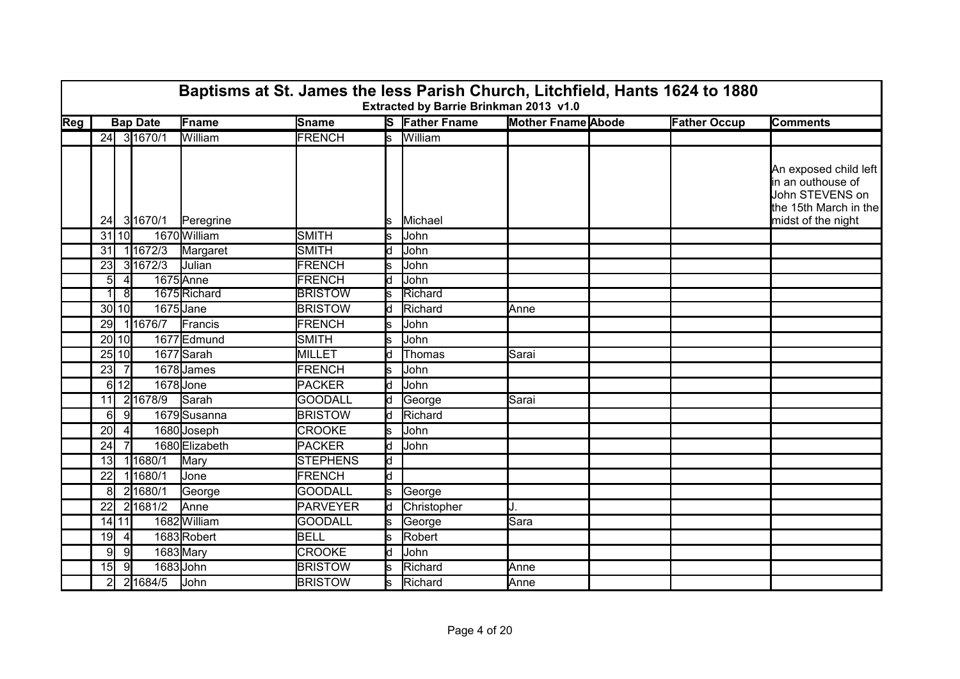|                           | Baptisms at St. James the less Parish Church, Litchfield, Hants 1624 to 1880<br>Extracted by Barrie Brinkman 2013 v1.0<br><b>Mother Fname Abode</b><br><b>Bap Date</b> |                |             |                |                 |     |                       |       |  |                     |                                                                                                              |  |  |
|---------------------------|------------------------------------------------------------------------------------------------------------------------------------------------------------------------|----------------|-------------|----------------|-----------------|-----|-----------------------|-------|--|---------------------|--------------------------------------------------------------------------------------------------------------|--|--|
| $\overline{\textsf{Reg}}$ |                                                                                                                                                                        |                |             | Fname          | Sname           |     | <b>S</b> Father Fname |       |  | <b>Father Occup</b> | <b>Comments</b>                                                                                              |  |  |
|                           |                                                                                                                                                                        |                | 24 3 1670/1 | William        | <b>FRENCH</b>   |     | s William             |       |  |                     |                                                                                                              |  |  |
|                           |                                                                                                                                                                        |                | 24 3 1670/1 | Peregrine      |                 | ls. | Michael               |       |  |                     | An exposed child left<br>in an outhouse of<br>John STEVENS on<br>the 15th March in the<br>midst of the night |  |  |
|                           |                                                                                                                                                                        | $31$ 10        |             | 1670 William   | <b>SMITH</b>    | s   | John                  |       |  |                     |                                                                                                              |  |  |
|                           | 31                                                                                                                                                                     |                | 1 1672/3    | Margaret       | <b>SMITH</b>    | ld. | John                  |       |  |                     |                                                                                                              |  |  |
|                           | 23                                                                                                                                                                     |                | 31672/3     | <b>Julian</b>  | <b>FRENCH</b>   |     | John                  |       |  |                     |                                                                                                              |  |  |
|                           | 51                                                                                                                                                                     | $\overline{4}$ |             | 1675 Anne      | <b>FRENCH</b>   | hl  | John                  |       |  |                     |                                                                                                              |  |  |
|                           |                                                                                                                                                                        | 81             |             | 1675 Richard   | <b>BRISTOW</b>  |     | Richard               |       |  |                     |                                                                                                              |  |  |
|                           |                                                                                                                                                                        | 30 10          | 1675 Jane   |                | <b>BRISTOW</b>  | ld. | Richard               | Anne  |  |                     |                                                                                                              |  |  |
|                           | 29                                                                                                                                                                     |                | 11676/7     | Francis        | <b>FRENCH</b>   | ls. | John                  |       |  |                     |                                                                                                              |  |  |
|                           |                                                                                                                                                                        | $20$   10      |             | 1677 Edmund    | <b>SMITH</b>    | s   | John                  |       |  |                     |                                                                                                              |  |  |
|                           |                                                                                                                                                                        | $25$ 10        |             | 1677 Sarah     | MILLET          |     | <b>Thomas</b>         | Sarai |  |                     |                                                                                                              |  |  |
|                           | 23                                                                                                                                                                     | $\overline{7}$ |             | 1678 James     | <b>FRENCH</b>   | S.  | John                  |       |  |                     |                                                                                                              |  |  |
|                           |                                                                                                                                                                        | 6112           | 1678 Jone   |                | <b>PACKER</b>   | d   | John                  |       |  |                     |                                                                                                              |  |  |
|                           | 11                                                                                                                                                                     |                | 21678/9     | Sarah          | <b>GOODALL</b>  | ld. | George                | Sarai |  |                     |                                                                                                              |  |  |
|                           | 61                                                                                                                                                                     | 9              |             | 1679 Susanna   | <b>BRISTOW</b>  | ld. | Richard               |       |  |                     |                                                                                                              |  |  |
|                           | 20                                                                                                                                                                     | $\overline{4}$ |             | 1680 Joseph    | <b>CROOKE</b>   | Ś   | John                  |       |  |                     |                                                                                                              |  |  |
|                           | 24                                                                                                                                                                     |                |             | 1680 Elizabeth | <b>PACKER</b>   | ld. | John                  |       |  |                     |                                                                                                              |  |  |
|                           | 13 <sub>l</sub>                                                                                                                                                        |                | 11680/1     | Mary           | <b>STEPHENS</b> | Ιd  |                       |       |  |                     |                                                                                                              |  |  |
|                           | 22                                                                                                                                                                     |                | 11680/1     | Jone           | <b>FRENCH</b>   | d   |                       |       |  |                     |                                                                                                              |  |  |
|                           | 81                                                                                                                                                                     |                | 21680/1     | George         | <b>GOODALL</b>  | s   | George                |       |  |                     |                                                                                                              |  |  |
|                           | 22                                                                                                                                                                     |                | 2 1681/2    | Anne           | <b>PARVEYER</b> | d   | Christopher           |       |  |                     |                                                                                                              |  |  |
|                           |                                                                                                                                                                        | $14$ 11        |             | 1682 William   | <b>GOODALL</b>  | ls  | George                | Sara  |  |                     |                                                                                                              |  |  |
|                           | 19                                                                                                                                                                     | $\vert$        |             | 1683Robert     | <b>BELL</b>     |     | <b>Robert</b>         |       |  |                     |                                                                                                              |  |  |
|                           | 91                                                                                                                                                                     | 9              |             | 1683 Mary      | <b>CROOKE</b>   | ld. | John                  |       |  |                     |                                                                                                              |  |  |
|                           | 15                                                                                                                                                                     | 9              | 1683 John   |                | <b>BRISTOW</b>  |     | Richard               | Anne  |  |                     |                                                                                                              |  |  |
|                           | $2 \mathsf{I}$                                                                                                                                                         |                | 2 1684/5    | John           | <b>BRISTOW</b>  | ls. | Richard               | Anne  |  |                     |                                                                                                              |  |  |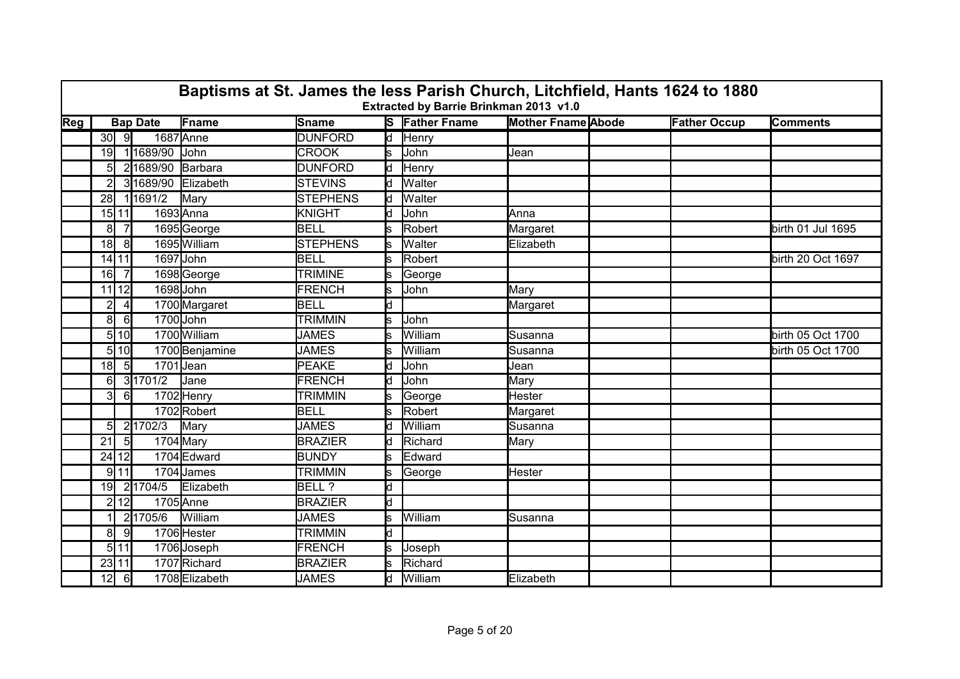|     | Baptisms at St. James the less Parish Church, Litchfield, Hants 1624 to 1880<br>Extracted by Barrie Brinkman 2013 v1.0<br><b>Bap Date</b> |              |                    |                |                 |                         |                       |                           |                     |                   |  |  |  |
|-----|-------------------------------------------------------------------------------------------------------------------------------------------|--------------|--------------------|----------------|-----------------|-------------------------|-----------------------|---------------------------|---------------------|-------------------|--|--|--|
| Reg |                                                                                                                                           |              |                    | <b>IFname</b>  | Sname           |                         | <b>S</b> Father Fname | <b>Mother Fname Abode</b> | <b>Father Occup</b> | <b>Comments</b>   |  |  |  |
|     | 30                                                                                                                                        | ୍ରା          |                    | 1687 Anne      | <b>DUNFORD</b>  | $\overline{\mathsf{d}}$ | Henry                 |                           |                     |                   |  |  |  |
|     | 19                                                                                                                                        |              | 11689/90           | John           | <b>CROOK</b>    | s                       | John                  | Jean                      |                     |                   |  |  |  |
|     | 51                                                                                                                                        |              | 21689/90           | Barbara        | <b>DUNFORD</b>  | ld                      | Henry                 |                           |                     |                   |  |  |  |
|     |                                                                                                                                           |              | 31689/90 Elizabeth |                | <b>STEVINS</b>  | ld.                     | <b>Walter</b>         |                           |                     |                   |  |  |  |
|     | 28                                                                                                                                        |              | 11691/2            | Mary           | <b>STEPHENS</b> | d                       | <b>Walter</b>         |                           |                     |                   |  |  |  |
|     |                                                                                                                                           | 15 11        |                    | 1693 Anna      | KNIGHT          | d                       | John                  | Anna                      |                     |                   |  |  |  |
|     | 8 <sup>1</sup>                                                                                                                            |              |                    | 1695George     | <b>BELL</b>     | S                       | Robert                | Margaret                  |                     | birth 01 Jul 1695 |  |  |  |
|     | 18                                                                                                                                        | 8            |                    | 1695 William   | <b>STEPHENS</b> |                         | Walter                | Elizabeth                 |                     |                   |  |  |  |
|     |                                                                                                                                           | 14 11        |                    | 1697 John      | BELL            | ls.                     | Robert                |                           |                     | birth 20 Oct 1697 |  |  |  |
|     | 16                                                                                                                                        |              |                    | 1698 George    | <b>TRIMINE</b>  | s                       | George                |                           |                     |                   |  |  |  |
|     |                                                                                                                                           | $11$ 12      |                    | 1698 John      | <b>FRENCH</b>   | s                       | John                  | Mary                      |                     |                   |  |  |  |
|     | $\overline{2}$                                                                                                                            | $\vert$      |                    | 1700 Margaret  | <b>BELL</b>     | ld.                     |                       | Margaret                  |                     |                   |  |  |  |
|     | 8                                                                                                                                         | $6 \mid$     |                    | 1700 John      | <b>TRIMMIN</b>  | Ś                       | John                  |                           |                     |                   |  |  |  |
|     |                                                                                                                                           | 5 10         |                    | 1700 William   | <b>JAMES</b>    | S                       | William               | Susanna                   |                     | birth 05 Oct 1700 |  |  |  |
|     |                                                                                                                                           | 5 10         |                    | 1700 Benjamine | <b>JAMES</b>    | s                       | William               | Susanna                   |                     | birth 05 Oct 1700 |  |  |  |
|     | 18                                                                                                                                        | 5            | 1701 Jean          |                | <b>PEAKE</b>    | ld.                     | John                  | Jean                      |                     |                   |  |  |  |
|     | 6                                                                                                                                         |              | 31701/2            | Jane           | <b>FRENCH</b>   | d                       | John                  | Mary                      |                     |                   |  |  |  |
|     | $\overline{3}$                                                                                                                            | 6I           |                    | 1702 Henry     | <b>TRIMMIN</b>  | S                       | George                | Hester                    |                     |                   |  |  |  |
|     |                                                                                                                                           |              |                    | 1702Robert     | <b>BELL</b>     | s                       | Robert                | Margaret                  |                     |                   |  |  |  |
|     | $5 \vert$                                                                                                                                 |              | 21702/3            | Mary           | <b>JAMES</b>    | ld.                     | William               | Susanna                   |                     |                   |  |  |  |
|     | 21                                                                                                                                        | <sup>5</sup> |                    | $1704$ Mary    | <b>BRAZIER</b>  | ld.                     | Richard               | Mary                      |                     |                   |  |  |  |
|     |                                                                                                                                           | 24 12        |                    | 1704 Edward    | <b>BUNDY</b>    | s                       | Edward                |                           |                     |                   |  |  |  |
|     |                                                                                                                                           | $9$ 11       |                    | 1704 James     | <b>TRIMMIN</b>  | s                       | George                | Hester                    |                     |                   |  |  |  |
|     | 19                                                                                                                                        |              | 2 1704/5           | Elizabeth      | BELL ?          | d                       |                       |                           |                     |                   |  |  |  |
|     |                                                                                                                                           | 2112         |                    | $1705$ Anne    | <b>BRAZIER</b>  | d                       |                       |                           |                     |                   |  |  |  |
|     |                                                                                                                                           |              | 21705/6            | William        | <b>JAMES</b>    | S                       | William               | Susanna                   |                     |                   |  |  |  |
|     | 8                                                                                                                                         | -91          |                    | 1706 Hester    | <b>TRIMMIN</b>  | ld                      |                       |                           |                     |                   |  |  |  |
|     |                                                                                                                                           | 5 11         |                    | 1706 Joseph    | <b>FRENCH</b>   | s                       | Joseph                |                           |                     |                   |  |  |  |
|     |                                                                                                                                           | 23 11        |                    | 1707 Richard   | <b>BRAZIER</b>  |                         | Richard               |                           |                     |                   |  |  |  |
|     | 12                                                                                                                                        | $6 \mid$     |                    | 1708 Elizabeth | <b>JAMES</b>    | d                       | William               | Elizabeth                 |                     |                   |  |  |  |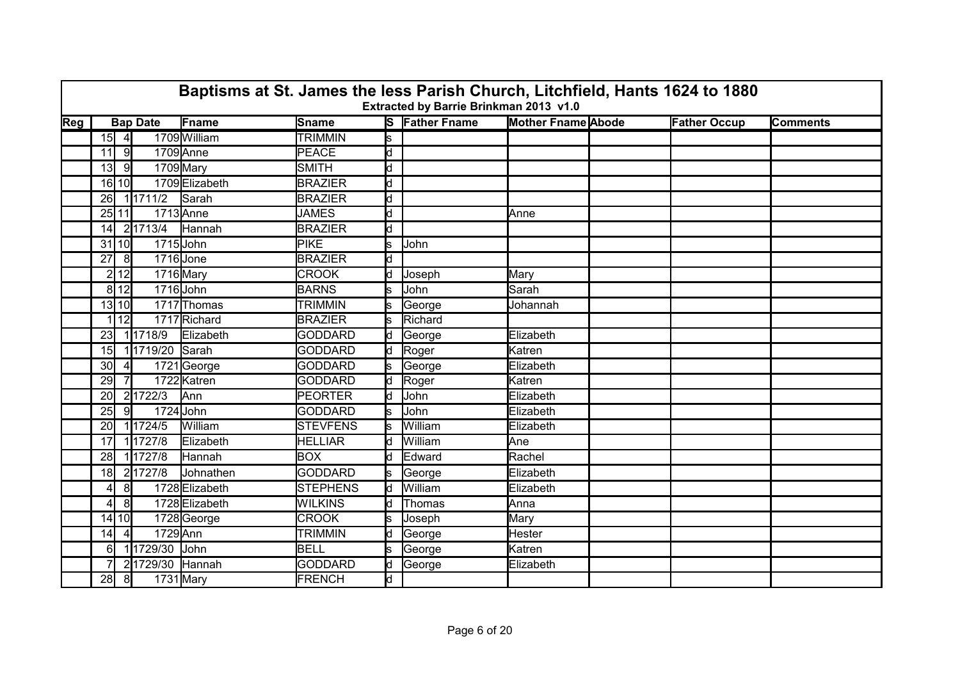|                           | Baptisms at St. James the less Parish Church, Litchfield, Hants 1624 to 1880<br>Extracted by Barrie Brinkman 2013 v1.0<br><b>Mother Fname Abode</b><br><b>Bap Date</b> |                |                 |                |                 |                         |                       |           |  |                     |                 |  |  |
|---------------------------|------------------------------------------------------------------------------------------------------------------------------------------------------------------------|----------------|-----------------|----------------|-----------------|-------------------------|-----------------------|-----------|--|---------------------|-----------------|--|--|
| $\overline{\textsf{Reg}}$ |                                                                                                                                                                        |                |                 | Fname          | Sname           |                         | <b>S</b> Father Fname |           |  | <b>Father Occup</b> | <b>Comments</b> |  |  |
|                           |                                                                                                                                                                        | $15$ 4         |                 | 1709 William   | <b>TRIMMIN</b>  | ls                      |                       |           |  |                     |                 |  |  |
|                           | 11                                                                                                                                                                     | 9              |                 | 1709 Anne      | PEACE           | $\overline{\mathsf{d}}$ |                       |           |  |                     |                 |  |  |
|                           | 13 <sup>1</sup>                                                                                                                                                        | -9             | 1709 Mary       |                | <b>SMITH</b>    | d                       |                       |           |  |                     |                 |  |  |
|                           |                                                                                                                                                                        | 16 10          |                 | 1709Elizabeth  | <b>BRAZIER</b>  | ld                      |                       |           |  |                     |                 |  |  |
|                           | 26                                                                                                                                                                     |                | 1 1711/2        | Sarah          | <b>BRAZIER</b>  | d                       |                       |           |  |                     |                 |  |  |
|                           |                                                                                                                                                                        | 25 11          |                 | 1713 Anne      | <b>JAMES</b>    | d                       |                       | Anne      |  |                     |                 |  |  |
|                           | 14                                                                                                                                                                     |                | 21713/4         | Hannah         | <b>BRAZIER</b>  | d                       |                       |           |  |                     |                 |  |  |
|                           |                                                                                                                                                                        | $31$ 10        | 1715 John       |                | <b>PIKE</b>     | s                       | John                  |           |  |                     |                 |  |  |
|                           | 27                                                                                                                                                                     | 8              | 1716Jone        |                | <b>BRAZIER</b>  | d                       |                       |           |  |                     |                 |  |  |
|                           |                                                                                                                                                                        | 2 12           | 1716 Mary       |                | <b>CROOK</b>    | d                       | Joseph                | Mary      |  |                     |                 |  |  |
|                           |                                                                                                                                                                        | 8 12           | 1716 John       |                | <b>BARNS</b>    | s                       | John                  | Sarah     |  |                     |                 |  |  |
|                           |                                                                                                                                                                        | $13$ 10        |                 | 1717 Thomas    | <b>TRIMMIN</b>  | s                       | George                | Johannah  |  |                     |                 |  |  |
|                           |                                                                                                                                                                        | 1 12           |                 | 1717 Richard   | <b>BRAZIER</b>  | s                       | Richard               |           |  |                     |                 |  |  |
|                           | 23                                                                                                                                                                     |                | 11718/9         | Elizabeth      | <b>GODDARD</b>  | ld.                     | George                | Elizabeth |  |                     |                 |  |  |
|                           | 15                                                                                                                                                                     |                | 11719/20 Sarah  |                | <b>GODDARD</b>  | ld                      | Roger                 | Katren    |  |                     |                 |  |  |
|                           | 30 <sup>l</sup>                                                                                                                                                        |                |                 | 1721George     | <b>GODDARD</b>  | s                       | George                | Elizabeth |  |                     |                 |  |  |
|                           | 29                                                                                                                                                                     |                |                 | 1722 Katren    | <b>GODDARD</b>  | ld                      | Roger                 | Katren    |  |                     |                 |  |  |
|                           | 20                                                                                                                                                                     |                | 21722/3         | Ann            | <b>PEORTER</b>  | ld                      | John                  | Elizabeth |  |                     |                 |  |  |
|                           | 25                                                                                                                                                                     | 9              | 1724 John       |                | <b>GODDARD</b>  | ls.                     | John                  | Elizabeth |  |                     |                 |  |  |
|                           | 20 <sup>l</sup>                                                                                                                                                        |                | 11724/5         | William        | <b>STEVFENS</b> |                         | William               | Elizabeth |  |                     |                 |  |  |
|                           | 17                                                                                                                                                                     |                | 11727/8         | Elizabeth      | <b>HELLIAR</b>  | bl                      | William               | lAne.     |  |                     |                 |  |  |
|                           | <b>28</b>                                                                                                                                                              |                | 11727/8         | Hannah         | <b>BOX</b>      | d.                      | Edward                | Rachel    |  |                     |                 |  |  |
|                           | 18                                                                                                                                                                     |                | 21727/8         | Johnathen      | <b>GODDARD</b>  | s                       | George                | Elizabeth |  |                     |                 |  |  |
|                           | 41                                                                                                                                                                     | 81             |                 | 1728 Elizabeth | <b>STEPHENS</b> | ld.                     | William               | Elizabeth |  |                     |                 |  |  |
|                           | 4                                                                                                                                                                      | 8 <sup>1</sup> |                 | 1728 Elizabeth | <b>WILKINS</b>  | d                       | Thomas                | Anna      |  |                     |                 |  |  |
|                           |                                                                                                                                                                        | 14 10          |                 | 1728 George    | <b>CROOK</b>    | s                       | Joseph                | Mary      |  |                     |                 |  |  |
|                           | 14                                                                                                                                                                     |                | 1729 Ann        |                | <b>TRIMMIN</b>  | ld.                     | George                | Hester    |  |                     |                 |  |  |
|                           | 6                                                                                                                                                                      |                | 11729/30 John   |                | <b>BELL</b>     | s                       | George                | Katren    |  |                     |                 |  |  |
|                           |                                                                                                                                                                        |                | 21729/30 Hannah |                | <b>GODDARD</b>  | d                       | George                | Elizabeth |  |                     |                 |  |  |
|                           | 28                                                                                                                                                                     | 8              | 1731 Mary       |                | <b>FRENCH</b>   | d                       |                       |           |  |                     |                 |  |  |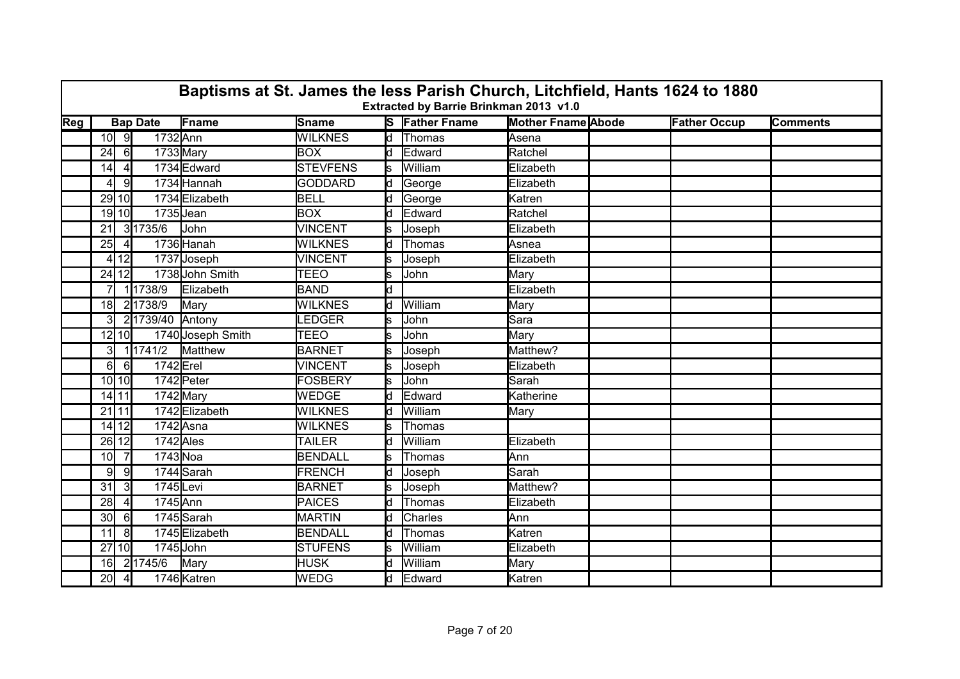|                         | Baptisms at St. James the less Parish Church, Litchfield, Hants 1624 to 1880<br>Extracted by Barrie Brinkman 2013 v1.0 |                |                 |                   |                 |     |                       |                           |                     |                 |  |  |  |
|-------------------------|------------------------------------------------------------------------------------------------------------------------|----------------|-----------------|-------------------|-----------------|-----|-----------------------|---------------------------|---------------------|-----------------|--|--|--|
| $\overline{\text{Reg}}$ |                                                                                                                        |                | <b>Bap Date</b> | Fname             | <b>Sname</b>    |     | <b>S</b> Father Fname | <b>Mother Fname Abode</b> | <b>Father Occup</b> | <b>Comments</b> |  |  |  |
|                         |                                                                                                                        | $10$ 9         | 1732 Ann        |                   | <b>WILKNES</b>  |     | d Thomas              | Asena                     |                     |                 |  |  |  |
|                         | 24                                                                                                                     | $6 \mid$       | 1733 Mary       |                   | <b>BOX</b>      | d   | Edward                | Ratchel                   |                     |                 |  |  |  |
|                         | 14                                                                                                                     | $\vert$        |                 | 1734 Edward       | <b>STEVFENS</b> | ls. | William               | Elizabeth                 |                     |                 |  |  |  |
|                         |                                                                                                                        | -91            |                 | 1734 Hannah       | <b>GODDARD</b>  | ld. | George                | Elizabeth                 |                     |                 |  |  |  |
|                         |                                                                                                                        | 29 10          |                 | 1734 Elizabeth    | <b>BELL</b>     | d   | George                | Katren                    |                     |                 |  |  |  |
|                         |                                                                                                                        | 19 10          | 1735 Jean       |                   | <b>BOX</b>      | ld. | Edward                | Ratchel                   |                     |                 |  |  |  |
|                         | 21                                                                                                                     |                | 31735/6         | John              | VINCENT         |     | Joseph                | Elizabeth                 |                     |                 |  |  |  |
|                         | 25                                                                                                                     | $\vert$        |                 | 1736 Hanah        | <b>WILKNES</b>  | ld. | Thomas                | Asnea                     |                     |                 |  |  |  |
|                         |                                                                                                                        | 4 12           |                 | 1737 Joseph       | <b>VINCENT</b>  |     | Joseph                | Elizabeth                 |                     |                 |  |  |  |
|                         |                                                                                                                        | 24 12          |                 | 1738 John Smith   | TEEO            | ls. | John                  | Mary                      |                     |                 |  |  |  |
|                         |                                                                                                                        |                | 11738/9         | Elizabeth         | <b>BAND</b>     | d   |                       | Elizabeth                 |                     |                 |  |  |  |
|                         | 18                                                                                                                     |                | 21738/9         | Mary              | <b>WILKNES</b>  | ld. | William               | Mary                      |                     |                 |  |  |  |
|                         | 31                                                                                                                     |                | 21739/40 Antony |                   | LEDGER          | s   | John                  | lSara                     |                     |                 |  |  |  |
|                         |                                                                                                                        | $12$ $10$      |                 | 1740 Joseph Smith | <b>TEEO</b>     | Ś   | John                  | Mary                      |                     |                 |  |  |  |
|                         | 31                                                                                                                     |                | 1 1741/2        | Matthew           | <b>BARNET</b>   | s   | Joseph                | Matthew?                  |                     |                 |  |  |  |
|                         | $6 \mid$                                                                                                               | <b>6</b>       | 1742 Erel       |                   | <b>VINCENT</b>  |     | Joseph                | Elizabeth                 |                     |                 |  |  |  |
|                         |                                                                                                                        | 10110          |                 | 1742 Peter        | FOSBERY         | s   | John                  | Sarah                     |                     |                 |  |  |  |
|                         |                                                                                                                        | 14 11          | 1742 Mary       |                   | <b>WEDGE</b>    | d   | Edward                | Katherine                 |                     |                 |  |  |  |
|                         |                                                                                                                        | 21 11          |                 | 1742 Elizabeth    | <b>WILKNES</b>  | ld. | William               | Mary                      |                     |                 |  |  |  |
|                         |                                                                                                                        | $14$ 12        | 1742 Asna       |                   | <b>WILKNES</b>  |     | Thomas                |                           |                     |                 |  |  |  |
|                         |                                                                                                                        | 26 12          | $1742$ Ales     |                   | <b>TAILER</b>   |     | William               | Elizabeth                 |                     |                 |  |  |  |
|                         | 10 <sup>1</sup>                                                                                                        | $\overline{7}$ | 1743 Noa        |                   | <b>BENDALL</b>  | S.  | <b>Thomas</b>         | lAnn                      |                     |                 |  |  |  |
|                         | 9                                                                                                                      | 9              |                 | 1744 Sarah        | <b>FRENCH</b>   | ld. | Joseph                | Sarah                     |                     |                 |  |  |  |
|                         | 31                                                                                                                     | 3              | 1745Levi        |                   | <b>BARNET</b>   |     | Joseph                | Matthew?                  |                     |                 |  |  |  |
|                         | 28                                                                                                                     | $\overline{4}$ | $1745$ Ann      |                   | <b>PAICES</b>   |     | Thomas                | Elizabeth                 |                     |                 |  |  |  |
|                         | 30 <sup>l</sup>                                                                                                        | 6              |                 | 1745 Sarah        | <b>MARTIN</b>   | d   | Charles               | Ann                       |                     |                 |  |  |  |
|                         | 11                                                                                                                     | 8              |                 | 1745 Elizabeth    | <b>BENDALL</b>  | ld. | Thomas                | Katren                    |                     |                 |  |  |  |
|                         |                                                                                                                        | 27 10          | 1745 John       |                   | <b>STUFENS</b>  | s   | William               | Elizabeth                 |                     |                 |  |  |  |
|                         | 16 <sup>1</sup>                                                                                                        |                | 21745/6         | Mary              | <b>HUSK</b>     |     | William               | Mary                      |                     |                 |  |  |  |
|                         | 20 <sub>l</sub>                                                                                                        | $\overline{4}$ |                 | 1746 Katren       | <b>WEDG</b>     | d   | Edward                | Katren                    |                     |                 |  |  |  |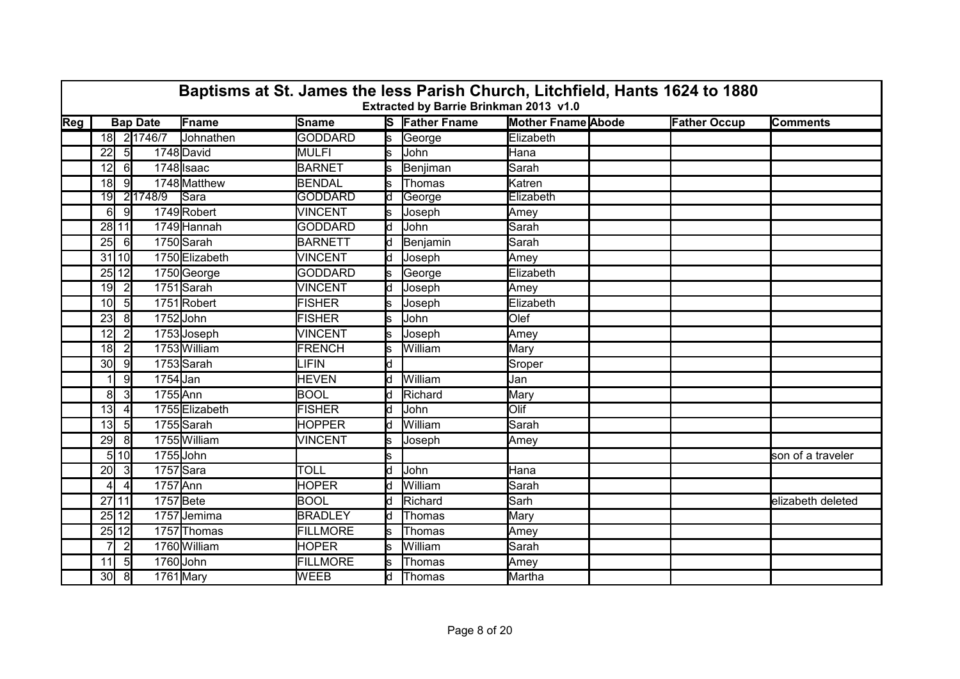|                           | Baptisms at St. James the less Parish Church, Litchfield, Hants 1624 to 1880<br>Extracted by Barrie Brinkman 2013 v1.0 |                |                 |                |                 |     |                       |                           |  |                     |                   |  |  |
|---------------------------|------------------------------------------------------------------------------------------------------------------------|----------------|-----------------|----------------|-----------------|-----|-----------------------|---------------------------|--|---------------------|-------------------|--|--|
| $\overline{\textsf{Reg}}$ |                                                                                                                        |                | <b>Bap Date</b> | Fname          | <b>Sname</b>    |     | <b>S</b> Father Fname | <b>Mother Fname Abode</b> |  | <b>Father Occup</b> | <b>Comments</b>   |  |  |
|                           |                                                                                                                        |                | 18 2 1746/7     | Johnathen      | <b>GODDARD</b>  | ls. | George                | Elizabeth                 |  |                     |                   |  |  |
|                           | 22                                                                                                                     | 5 <sub>l</sub> |                 | 1748 David     | <b>MULFI</b>    | ls. | <b>John</b>           | Hana                      |  |                     |                   |  |  |
|                           | 12                                                                                                                     | $6 \mid$       |                 | 1748 Isaac     | <b>BARNET</b>   |     | Benjiman              | Sarah                     |  |                     |                   |  |  |
|                           | 18 <sup>l</sup>                                                                                                        | -91            |                 | 1748 Matthew   | <b>BENDAL</b>   |     | Thomas                | Katren                    |  |                     |                   |  |  |
|                           | 19                                                                                                                     |                | 2 1748/9        | Sara           | <b>GODDARD</b>  | d   | George                | Elizabeth                 |  |                     |                   |  |  |
|                           | 6                                                                                                                      | -9I            |                 | 1749 Robert    | <b>VINCENT</b>  | S.  | Joseph                | Amey                      |  |                     |                   |  |  |
|                           | 28 11                                                                                                                  |                |                 | 1749 Hannah    | <b>GODDARD</b>  | ld. | John                  | Sarah                     |  |                     |                   |  |  |
|                           | 25                                                                                                                     | - 61           |                 | 1750 Sarah     | <b>BARNETT</b>  | ld. | Benjamin              | Sarah                     |  |                     |                   |  |  |
|                           | 31110                                                                                                                  |                |                 | 1750 Elizabeth | <b>VINCENT</b>  | ld. | Joseph                | Amey                      |  |                     |                   |  |  |
|                           | 25 12                                                                                                                  |                |                 | 1750 George    | <b>GODDARD</b>  | ls. | George                | Elizabeth                 |  |                     |                   |  |  |
|                           | 19                                                                                                                     | $\overline{2}$ |                 | 1751 Sarah     | <b>VINCENT</b>  | ld. | Joseph                | Amey                      |  |                     |                   |  |  |
|                           | 10 <sup>l</sup>                                                                                                        | 5              |                 | 1751Robert     | <b>FISHER</b>   | s   | Joseph                | Elizabeth                 |  |                     |                   |  |  |
|                           | 23                                                                                                                     | 8 <sup>1</sup> | 1752 John       |                | <b>FISHER</b>   |     | John                  | Olef                      |  |                     |                   |  |  |
|                           | 12 <sup>1</sup>                                                                                                        | $\overline{2}$ |                 | 1753 Joseph    | VINCENT         | S.  | Joseph                | Amey                      |  |                     |                   |  |  |
|                           | 18 <sup>1</sup>                                                                                                        | $\overline{2}$ |                 | 1753 William   | FRENCH          | ls. | William               | Mary                      |  |                     |                   |  |  |
|                           | 30 <sup>l</sup>                                                                                                        | -9             |                 | 1753 Sarah     | <b>LIFIN</b>    | d   |                       | Sroper                    |  |                     |                   |  |  |
|                           |                                                                                                                        | 9              | 1754 Jan        |                | <b>HEVEN</b>    | ld. | William               | Jan                       |  |                     |                   |  |  |
|                           | 8 <sup>1</sup>                                                                                                         | 3              | 1755 Ann        |                | <b>BOOL</b>     | d   | Richard               | Mary                      |  |                     |                   |  |  |
|                           | 13 <sub>l</sub>                                                                                                        | $\vert$        |                 | 1755 Elizabeth | <b>FISHER</b>   | ld. | <b>John</b>           | Olif                      |  |                     |                   |  |  |
|                           | 13                                                                                                                     | 5              |                 | 1755 Sarah     | <b>HOPPER</b>   | d   | William               | Sarah                     |  |                     |                   |  |  |
|                           | 29                                                                                                                     | 81             |                 | 1755 William   | <b>VINCENT</b>  | s   | Joseph                | Amey                      |  |                     |                   |  |  |
|                           |                                                                                                                        | 5110           | 1755John        |                |                 | ls. |                       |                           |  |                     | son of a traveler |  |  |
|                           | 20                                                                                                                     | $\vert$ 3      | $1757$ Sara     |                | <b>TOLL</b>     | d   | John                  | Hana                      |  |                     |                   |  |  |
|                           | $\overline{4}$                                                                                                         | $\overline{4}$ | 1757 Ann        |                | <b>HOPER</b>    | ld. | William               | Sarah                     |  |                     |                   |  |  |
|                           | 27 11                                                                                                                  |                | 1757 Bete       |                | <b>BOOL</b>     | ld. | Richard               | Sarh                      |  |                     | elizabeth deleted |  |  |
|                           | $25$   12                                                                                                              |                |                 | 1757Jemima     | <b>BRADLEY</b>  | ld. | <b>Thomas</b>         | Mary                      |  |                     |                   |  |  |
|                           | 25 12                                                                                                                  |                |                 | 1757 Thomas    | <b>FILLMORE</b> | ls. | Thomas                | Amey                      |  |                     |                   |  |  |
|                           |                                                                                                                        | $\overline{2}$ |                 | 1760 William   | <b>HOPER</b>    |     | William               | Sarah                     |  |                     |                   |  |  |
|                           | 11                                                                                                                     | $5 \vert$      | 1760 John       |                | <b>FILLMORE</b> |     | Thomas                | Amey                      |  |                     |                   |  |  |
|                           | 30 <sup>l</sup>                                                                                                        | 8              | 1761 Mary       |                | <b>WEEB</b>     | d   | Thomas                | Martha                    |  |                     |                   |  |  |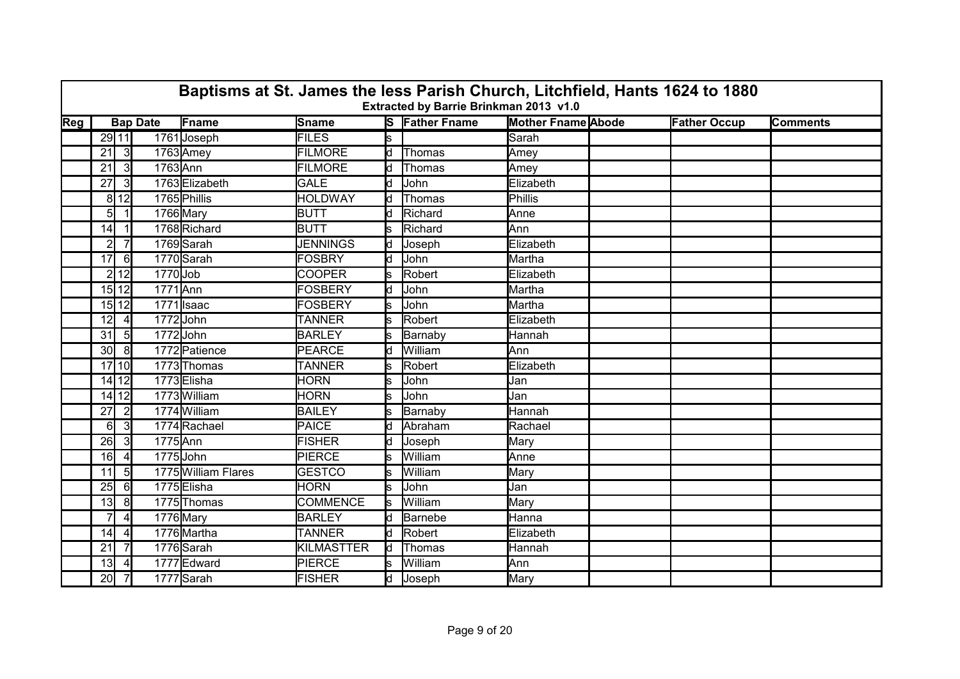|                           | Baptisms at St. James the less Parish Church, Litchfield, Hants 1624 to 1880<br>Extracted by Barrie Brinkman 2013 v1.0 |                 |                 |                     |                 |     |                       |                           |  |                     |                 |  |  |
|---------------------------|------------------------------------------------------------------------------------------------------------------------|-----------------|-----------------|---------------------|-----------------|-----|-----------------------|---------------------------|--|---------------------|-----------------|--|--|
| $\overline{\textsf{Reg}}$ |                                                                                                                        |                 | <b>Bap Date</b> | Fname               | Sname           |     | <b>S</b> Father Fname | <b>Mother Fname Abode</b> |  | <b>Father Occup</b> | <b>Comments</b> |  |  |
|                           |                                                                                                                        | 29 11           |                 | 1761 Joseph         | <b>FILES</b>    | ls. |                       | Sarah                     |  |                     |                 |  |  |
|                           | 21                                                                                                                     | 3               |                 | 1763 Amey           | <b>FILMORE</b>  | ld  | Thomas                | Amey                      |  |                     |                 |  |  |
|                           | 21                                                                                                                     | 3               | 1763 Ann        |                     | <b>FILMORE</b>  | d   | Thomas                | Amey                      |  |                     |                 |  |  |
|                           | 27                                                                                                                     | -3I             |                 | 1763 Elizabeth      | <b>GALE</b>     | d   | John                  | Elizabeth                 |  |                     |                 |  |  |
|                           |                                                                                                                        | 8 12            |                 | 1765 Phillis        | <b>HOLDWAY</b>  | d   | Thomas                | Phillis                   |  |                     |                 |  |  |
|                           | 51                                                                                                                     |                 |                 | 1766 Mary           | <b>BUTT</b>     | ld. | Richard               | Anne                      |  |                     |                 |  |  |
|                           | 14                                                                                                                     |                 |                 | 1768 Richard        | <b>BUTT</b>     | s   | Richard               | Ann                       |  |                     |                 |  |  |
|                           | $\overline{2}$                                                                                                         |                 |                 | 1769 Sarah          | <b>JENNINGS</b> | d   | Joseph                | Elizabeth                 |  |                     |                 |  |  |
|                           | 17                                                                                                                     | $6 \mid$        |                 | 1770 Sarah          | <b>FOSBRY</b>   | d   | John                  | Martha                    |  |                     |                 |  |  |
|                           |                                                                                                                        | 2 12            | $1770$ Job      |                     | <b>COOPER</b>   | ls. | Robert                | Elizabeth                 |  |                     |                 |  |  |
|                           |                                                                                                                        | 15 12           | 1771 Ann        |                     | <b>FOSBERY</b>  | ld  | John                  | Martha                    |  |                     |                 |  |  |
|                           |                                                                                                                        | 15 12           |                 | 1771 Isaac          | <b>FOSBERY</b>  |     | John                  | Martha                    |  |                     |                 |  |  |
|                           | 12                                                                                                                     | $\vert$         |                 | 1772 John           | <b>TANNER</b>   | s   | Robert                | Elizabeth                 |  |                     |                 |  |  |
|                           | 31                                                                                                                     | 5               |                 | 1772John            | <b>BARLEY</b>   | s   | Barnaby               | Hannah                    |  |                     |                 |  |  |
|                           | 30 <sup>l</sup>                                                                                                        | 8               |                 | 1772 Patience       | PEARCE          | ld. | William               | Ann                       |  |                     |                 |  |  |
|                           |                                                                                                                        | 17 10           |                 | 1773 Thomas         | <b>TANNER</b>   | S   | Robert                | Elizabeth                 |  |                     |                 |  |  |
|                           |                                                                                                                        | 14 12           |                 | 1773Elisha          | <b>HORN</b>     | s   | John                  | Jan                       |  |                     |                 |  |  |
|                           |                                                                                                                        | $14$ 12         |                 | 1773 William        | <b>HORN</b>     | ls. | John                  | Jan                       |  |                     |                 |  |  |
|                           | 27                                                                                                                     | $\overline{2}$  |                 | 1774 William        | <b>BAILEY</b>   | ls. | Barnaby               | Hannah                    |  |                     |                 |  |  |
|                           | 6                                                                                                                      | $\overline{3}$  |                 | 1774 Rachael        | PAICE           | d   | Abraham               | Rachael                   |  |                     |                 |  |  |
|                           | 26                                                                                                                     | -31             | 1775 Ann        |                     | <b>FISHER</b>   | d   | Joseph                | Mary                      |  |                     |                 |  |  |
|                           | 16                                                                                                                     | $\overline{4}$  |                 | 1775John            | <b>PIERCE</b>   | s.  | William               | <b>Anne</b>               |  |                     |                 |  |  |
|                           | 11                                                                                                                     | $5\overline{)}$ |                 | 1775 William Flares | <b>GESTCO</b>   | s   | William               | Mary                      |  |                     |                 |  |  |
|                           | 25                                                                                                                     | 61              |                 | 1775 Elisha         | <b>HORN</b>     | s   | John                  | Jan                       |  |                     |                 |  |  |
|                           | 13 <sub>l</sub>                                                                                                        | 8               |                 | 1775Thomas          | <b>COMMENCE</b> |     | William               | Mary                      |  |                     |                 |  |  |
|                           | $\overline{7}$                                                                                                         | $\overline{4}$  |                 | 1776 Mary           | <b>BARLEY</b>   | d   | Barnebe               | Hanna                     |  |                     |                 |  |  |
|                           | 14                                                                                                                     | $\overline{4}$  |                 | 1776 Martha         | <b>TANNER</b>   | ld. | Robert                | Elizabeth                 |  |                     |                 |  |  |
|                           | 21                                                                                                                     | $\overline{7}$  |                 | 1776 Sarah          | KILMASTTER      | ld  | Thomas                | Hannah                    |  |                     |                 |  |  |
|                           | 13                                                                                                                     |                 |                 | 1777 Edward         | PIERCE          |     | William               | Ann                       |  |                     |                 |  |  |
|                           | 20                                                                                                                     | $\overline{7}$  |                 | 1777 Sarah          | <b>FISHER</b>   | d   | Joseph                | Mary                      |  |                     |                 |  |  |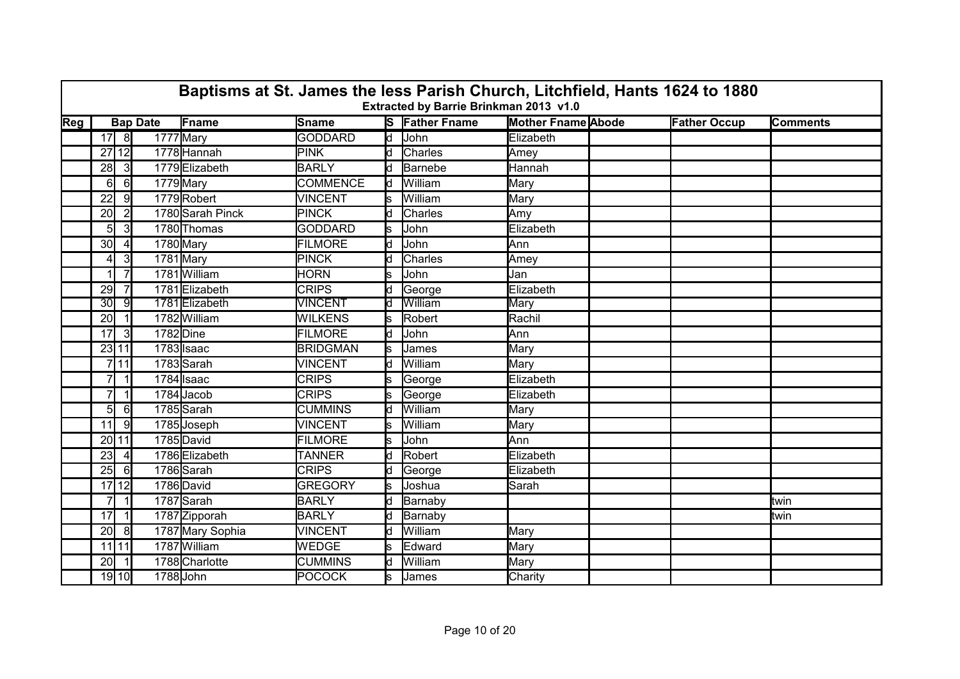|                           | Baptisms at St. James the less Parish Church, Litchfield, Hants 1624 to 1880<br>Extracted by Barrie Brinkman 2013 v1.0 |                |                 |                         |                 |                          |                       |                           |                     |                 |  |  |  |
|---------------------------|------------------------------------------------------------------------------------------------------------------------|----------------|-----------------|-------------------------|-----------------|--------------------------|-----------------------|---------------------------|---------------------|-----------------|--|--|--|
| $\overline{\textsf{Reg}}$ |                                                                                                                        |                | <b>Bap Date</b> | Fname                   | Sname           |                          | <b>S</b> Father Fname | <b>Mother Fname Abode</b> | <b>Father Occup</b> | <b>Comments</b> |  |  |  |
|                           | $17$ 8                                                                                                                 |                | 1777 Mary       |                         | <b>GODDARD</b>  | $\overline{\mathsf{Id}}$ | John                  | Elizabeth                 |                     |                 |  |  |  |
|                           | 27 12                                                                                                                  |                |                 | 1778 Hannah             | <b>PINK</b>     | ld.                      | <b>Charles</b>        | Amey                      |                     |                 |  |  |  |
|                           | 28                                                                                                                     | $\overline{3}$ |                 | 1779 Elizabeth          | <b>BARLY</b>    | d                        | Barnebe               | Hannah                    |                     |                 |  |  |  |
|                           | 61                                                                                                                     | $6 \mid$       |                 | 1779 Mary               | <b>COMMENCE</b> | d                        | William               | Mary                      |                     |                 |  |  |  |
|                           | 22                                                                                                                     | 9I             |                 | 1779Robert              | <b>VINCENT</b>  | S.                       | William               | Mary                      |                     |                 |  |  |  |
|                           | 20                                                                                                                     | $\overline{2}$ |                 | 1780 Sarah Pinck        | <b>PINCK</b>    | d                        | Charles               | Amy                       |                     |                 |  |  |  |
|                           | $5 \mid$                                                                                                               | -31            |                 | 1780 Thomas             | <b>GODDARD</b>  | s                        | John                  | Elizabeth                 |                     |                 |  |  |  |
|                           | 30 <sup>l</sup>                                                                                                        |                |                 | 1780 Mary               | <b>FILMORE</b>  | d                        | John                  | Ann                       |                     |                 |  |  |  |
|                           | 41                                                                                                                     | $\mathbf{3}$   | 1781 Mary       |                         | <b>PINCK</b>    | d                        | <b>Charles</b>        | Amey                      |                     |                 |  |  |  |
|                           |                                                                                                                        | $\overline{7}$ |                 | 1781 William            | <b>HORN</b>     | ls                       | John                  | Jan                       |                     |                 |  |  |  |
|                           | 29                                                                                                                     | $\overline{7}$ |                 | 1781 Elizabeth          | <b>CRIPS</b>    | ld.                      | George                | Elizabeth                 |                     |                 |  |  |  |
|                           | 30 <sub>l</sub>                                                                                                        | ୍ରା            |                 | 1781 Elizabeth          | <b>VINCENT</b>  | ld.                      | William               | Mary                      |                     |                 |  |  |  |
|                           | 20                                                                                                                     |                |                 | 1782 William            | <b>WILKENS</b>  | s                        | Robert                | Rachil                    |                     |                 |  |  |  |
|                           | 17 <sup>1</sup>                                                                                                        | 3              | 1782 Dine       |                         | <b>FILMORE</b>  | d                        | John                  | lAnn                      |                     |                 |  |  |  |
|                           | 23 11                                                                                                                  |                |                 | 1783 Isaac              | <b>BRIDGMAN</b> | ls                       | <b>James</b>          | Mary                      |                     |                 |  |  |  |
|                           |                                                                                                                        | 711            |                 | 1783 Sarah              | <b>VINCENT</b>  | d                        | William               | Mary                      |                     |                 |  |  |  |
|                           |                                                                                                                        |                |                 | 1784 Isaac              | <b>CRIPS</b>    |                          | George                | Elizabeth                 |                     |                 |  |  |  |
|                           | 7                                                                                                                      | $\vert$ 1      |                 | 1784Jacob               | <b>CRIPS</b>    | s                        | George                | Elizabeth                 |                     |                 |  |  |  |
|                           | 5 <sup>1</sup>                                                                                                         | $6 \mid$       |                 | 1785Sarah               | <b>CUMMINS</b>  | ld.                      | William               | Mary                      |                     |                 |  |  |  |
|                           | 11                                                                                                                     | 9              |                 | 1785Joseph              | <b>VINCENT</b>  | s                        | William               | Mary                      |                     |                 |  |  |  |
|                           | 20 11                                                                                                                  |                |                 | 1785David               | <b>FILMORE</b>  |                          | John                  | lAnn                      |                     |                 |  |  |  |
|                           | 23                                                                                                                     | $\vert$        |                 | 1786 Elizabeth          | <b>TANNER</b>   | d                        | Robert                | Elizabeth                 |                     |                 |  |  |  |
|                           | 25                                                                                                                     | $6 \mid$       |                 | 1786 Sarah              | <b>CRIPS</b>    | d                        | George                | Elizabeth                 |                     |                 |  |  |  |
|                           | 17 12                                                                                                                  |                |                 | 1786 David              | <b>GREGORY</b>  | s                        | Joshua                | Sarah                     |                     |                 |  |  |  |
|                           | 71                                                                                                                     | $\vert$ 1      |                 | $\overline{1787}$ Sarah | <b>BARLY</b>    | ld.                      | Barnaby               |                           |                     | ltwin           |  |  |  |
|                           | 17 <sup>1</sup>                                                                                                        | $\vert$ 1      |                 | 1787 Zipporah           | <b>BARLY</b>    | d                        | Barnaby               |                           |                     | ltwin           |  |  |  |
|                           | 20                                                                                                                     | 8              |                 | 1787 Mary Sophia        | <b>VINCENT</b>  | ld.                      | William               | Mary                      |                     |                 |  |  |  |
|                           | $11$ 11                                                                                                                |                |                 | 1787 William            | WEDGE           | s                        | Edward                | Mary                      |                     |                 |  |  |  |
|                           | 20 <sup>1</sup>                                                                                                        |                |                 | 1788 Charlotte          | <b>CUMMINS</b>  | Id.                      | William               | Mary                      |                     |                 |  |  |  |
|                           |                                                                                                                        | 19 10          | 1788 John       |                         | <b>POCOCK</b>   | s                        | James                 | Charity                   |                     |                 |  |  |  |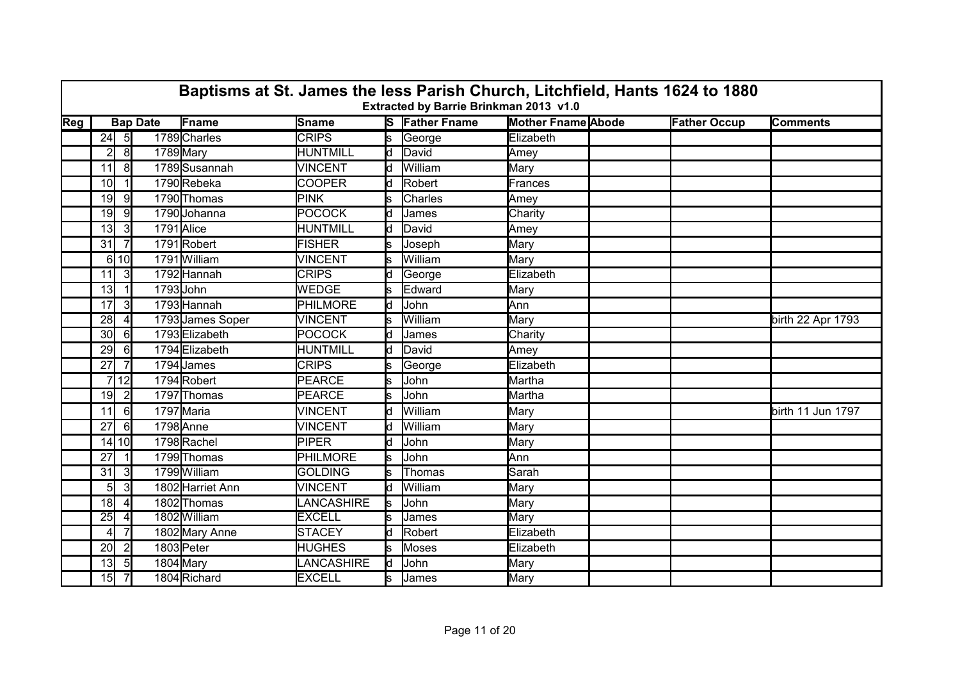|                           | Baptisms at St. James the less Parish Church, Litchfield, Hants 1624 to 1880<br>Extracted by Barrie Brinkman 2013 v1.0<br><b>Bap Date</b> |                |            |                  |                 |     |                       |                           |  |                     |                   |  |  |
|---------------------------|-------------------------------------------------------------------------------------------------------------------------------------------|----------------|------------|------------------|-----------------|-----|-----------------------|---------------------------|--|---------------------|-------------------|--|--|
| $\overline{\textsf{Reg}}$ |                                                                                                                                           |                |            | Fname            | Sname           |     | <b>S</b> Father Fname | <b>Mother Fname Abode</b> |  | <b>Father Occup</b> | <b>Comments</b>   |  |  |
|                           | $24$ 5                                                                                                                                    |                |            | 1789 Charles     | <b>CRIPS</b>    | ls. | George                | Elizabeth                 |  |                     |                   |  |  |
|                           | $\overline{2}$                                                                                                                            | 8              | 1789 Mary  |                  | <b>HUNTMILL</b> | ld  | David                 | Amey                      |  |                     |                   |  |  |
|                           | 11                                                                                                                                        | 8              |            | 1789 Susannah    | VINCENT         | d   | William               | Mary                      |  |                     |                   |  |  |
|                           | 10 <sup>l</sup>                                                                                                                           |                |            | 1790Rebeka       | <b>COOPER</b>   | ld. | Robert                | Frances                   |  |                     |                   |  |  |
|                           | 19                                                                                                                                        | -91            |            | 1790 Thomas      | <b>PINK</b>     | s   | Charles               | Amey                      |  |                     |                   |  |  |
|                           | 19                                                                                                                                        | -9             |            | 1790 Johanna     | <b>POCOCK</b>   | ld  | James                 | Charity                   |  |                     |                   |  |  |
|                           | 13 <sub>l</sub>                                                                                                                           | $\mathbf{3}$   | 1791 Alice |                  | <b>HUNTMILL</b> | d   | David                 | Amey                      |  |                     |                   |  |  |
|                           | 31                                                                                                                                        |                |            | 1791Robert       | <b>FISHER</b>   |     | Joseph                | Mary                      |  |                     |                   |  |  |
|                           |                                                                                                                                           | 6 10           |            | 1791 William     | <b>VINCENT</b>  | s   | William               | Mary                      |  |                     |                   |  |  |
|                           | 11                                                                                                                                        | $\overline{3}$ |            | 1792 Hannah      | <b>CRIPS</b>    | ld. | George                | Elizabeth                 |  |                     |                   |  |  |
|                           | 13 <sub>l</sub>                                                                                                                           |                | 1793 John  |                  | WEDGE           | S   | Edward                | Mary                      |  |                     |                   |  |  |
|                           | 17                                                                                                                                        | $\mathbf{3}$   |            | 1793 Hannah      | <b>PHILMORE</b> | ld. | John                  | Ann                       |  |                     |                   |  |  |
|                           | 28                                                                                                                                        | $\overline{4}$ |            | 1793 James Soper | <b>VINCENT</b>  |     | William               | Mary                      |  |                     | birth 22 Apr 1793 |  |  |
|                           | 30 <sup>l</sup>                                                                                                                           | 6              |            | 1793 Elizabeth   | <b>POCOCK</b>   | d   | James                 | Charity                   |  |                     |                   |  |  |
|                           | 29                                                                                                                                        | $6 \mid$       |            | 1794 Elizabeth   | <b>HUNTMILL</b> | ld. | David                 | Amey                      |  |                     |                   |  |  |
|                           | 27                                                                                                                                        |                |            | 1794 James       | <b>CRIPS</b>    |     | George                | Elizabeth                 |  |                     |                   |  |  |
|                           |                                                                                                                                           | 7 12 I         |            | 1794Robert       | PEARCE          | s   | John                  | Martha                    |  |                     |                   |  |  |
|                           | 19                                                                                                                                        | $\overline{2}$ |            | 1797 Thomas      | PEARCE          | Ś   | John                  | Martha                    |  |                     |                   |  |  |
|                           | 11                                                                                                                                        | 6              |            | 1797 Maria       | <b>VINCENT</b>  | d   | William               | Mary                      |  |                     | birth 11 Jun 1797 |  |  |
|                           | 27                                                                                                                                        | 6              |            | 1798 Anne        | <b>VINCENT</b>  | d   | William               | Mary                      |  |                     |                   |  |  |
|                           |                                                                                                                                           | 14 10          |            | 1798Rachel       | <b>PIPER</b>    | d   | John                  | Mary                      |  |                     |                   |  |  |
|                           | 27                                                                                                                                        |                |            | 1799 Thomas      | PHILMORE        | S   | John                  | Ann                       |  |                     |                   |  |  |
|                           | 31                                                                                                                                        | $\overline{3}$ |            | 1799 William     | <b>GOLDING</b>  | s   | Thomas                | Sarah                     |  |                     |                   |  |  |
|                           | 5                                                                                                                                         | $\overline{3}$ |            | 1802 Harriet Ann | <b>VINCENT</b>  | ld. | William               | Mary                      |  |                     |                   |  |  |
|                           | 18                                                                                                                                        | $\vert$        |            | 1802 Thomas      | LANCASHIRE      | ls. | John                  | Mary                      |  |                     |                   |  |  |
|                           | 25                                                                                                                                        | $\overline{4}$ |            | 1802 William     | <b>EXCELL</b>   | s   | James                 | Mary                      |  |                     |                   |  |  |
|                           | 41                                                                                                                                        | $\overline{7}$ |            | 1802 Mary Anne   | <b>STACEY</b>   | ld  | Robert                | Elizabeth                 |  |                     |                   |  |  |
|                           | 20                                                                                                                                        | $\overline{2}$ |            | 1803 Peter       | <b>HUGHES</b>   | ls. | <b>Moses</b>          | Elizabeth                 |  |                     |                   |  |  |
|                           | 13 <sub>l</sub>                                                                                                                           | 5              |            | 1804 Mary        | LANCASHIRE      | ld. | John                  | Mary                      |  |                     |                   |  |  |
|                           | 15                                                                                                                                        | $\overline{7}$ |            | 1804 Richard     | <b>EXCELL</b>   | s   | James                 | Mary                      |  |                     |                   |  |  |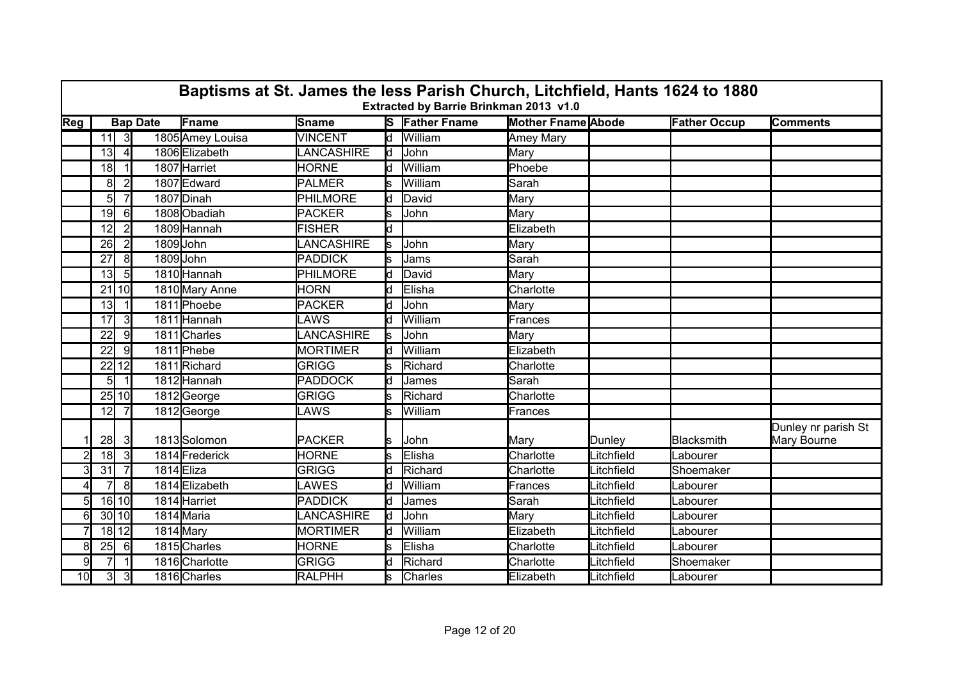|                 | Baptisms at St. James the less Parish Church, Litchfield, Hants 1624 to 1880<br>Extracted by Barrie Brinkman 2013 v1.0<br><b>Bap Date</b> |                |           |                  |                  |     |                       |                           |            |                     |                                    |  |  |
|-----------------|-------------------------------------------------------------------------------------------------------------------------------------------|----------------|-----------|------------------|------------------|-----|-----------------------|---------------------------|------------|---------------------|------------------------------------|--|--|
| Reg             |                                                                                                                                           |                |           | Fname            | Sname            |     | <b>S</b> Father Fname | <b>Mother Fname Abode</b> |            | <b>Father Occup</b> | <b>Comments</b>                    |  |  |
|                 |                                                                                                                                           | $11$ 3         |           | 1805 Amey Louisa | <b>VINCENT</b>   |     | d William             | Amey Mary                 |            |                     |                                    |  |  |
|                 | 13                                                                                                                                        | 4 <sup>1</sup> |           | 1806 Elizabeth   | <b>ANCASHIRE</b> | ld  | John                  | Mary                      |            |                     |                                    |  |  |
|                 | 18                                                                                                                                        |                |           | 1807 Harriet     | <b>HORNE</b>     | ld. | William               | Phoebe                    |            |                     |                                    |  |  |
|                 | 8                                                                                                                                         | $\overline{2}$ |           | 1807 Edward      | <b>PALMER</b>    |     | William               | Sarah                     |            |                     |                                    |  |  |
|                 | 5 <sup>1</sup>                                                                                                                            | 7              |           | 1807 Dinah       | <b>PHILMORE</b>  | d   | David                 | Mary                      |            |                     |                                    |  |  |
|                 | 19                                                                                                                                        | $6 \mid$       |           | 1808 Obadiah     | <b>PACKER</b>    | s   | John                  | Mary                      |            |                     |                                    |  |  |
|                 | 12                                                                                                                                        | $\overline{2}$ |           | 1809 Hannah      | <b>FISHER</b>    | d   |                       | Elizabeth                 |            |                     |                                    |  |  |
|                 | 26                                                                                                                                        | $\overline{2}$ |           | 1809John         | LANCASHIRE       | s   | John                  | Mary                      |            |                     |                                    |  |  |
|                 | 27                                                                                                                                        | 8              | 1809John  |                  | <b>PADDICK</b>   | s.  | Jams                  | Sarah                     |            |                     |                                    |  |  |
|                 | 13 <sup>1</sup>                                                                                                                           | 5 <sub>l</sub> |           | 1810 Hannah      | <b>PHILMORE</b>  | ld  | David                 | Mary                      |            |                     |                                    |  |  |
|                 |                                                                                                                                           | $21$ 10        |           | 1810 Mary Anne   | <b>HORN</b>      | d   | Elisha                | Charlotte                 |            |                     |                                    |  |  |
|                 | 13 <sub>l</sub>                                                                                                                           | -1 I           |           | 1811 Phoebe      | <b>PACKER</b>    |     | John                  | Mary                      |            |                     |                                    |  |  |
|                 | 17                                                                                                                                        | $\overline{3}$ |           | 1811 Hannah      | LAWS             | d   | William               | Frances                   |            |                     |                                    |  |  |
|                 | 22                                                                                                                                        | 9              |           | 1811 Charles     | LANCASHIRE       | ls  | John                  | Mary                      |            |                     |                                    |  |  |
|                 | 22                                                                                                                                        | 9              |           | 1811 Phebe       | <b>MORTIMER</b>  | ld. | William               | Elizabeth                 |            |                     |                                    |  |  |
|                 |                                                                                                                                           | 22 12          |           | 1811 Richard     | <b>GRIGG</b>     |     | Richard               | Charlotte                 |            |                     |                                    |  |  |
|                 | 5 <sub>l</sub>                                                                                                                            | $\vert$ 1      |           | 1812 Hannah      | <b>PADDOCK</b>   | ld. | James                 | Sarah                     |            |                     |                                    |  |  |
|                 |                                                                                                                                           | 25 10          |           | 1812George       | <b>GRIGG</b>     | ls  | Richard               | Charlotte                 |            |                     |                                    |  |  |
|                 | 12                                                                                                                                        | $\overline{7}$ |           | 1812George       | LAWS             |     | William               | Frances                   |            |                     |                                    |  |  |
|                 | 28                                                                                                                                        | -31            |           | 1813Solomon      | <b>PACKER</b>    | s   | John                  | Mary                      | Dunley     | <b>Blacksmith</b>   | Dunley nr parish St<br>Mary Bourne |  |  |
| $\overline{2}$  | 18                                                                                                                                        | 3              |           | 1814 Frederick   | <b>HORNE</b>     | s   | Elisha                | Charlotte                 | _itchfield | Labourer            |                                    |  |  |
| 3               | 31                                                                                                                                        | $\overline{7}$ | 1814Eliza |                  | <b>GRIGG</b>     | ld. | Richard               | Charlotte                 | _itchfield | Shoemaker           |                                    |  |  |
| 4               | $\overline{7}$                                                                                                                            | 8              |           | 1814 Elizabeth   | LAWES            |     | William               | Frances                   | _itchfield | Labourer            |                                    |  |  |
| 5 <sub>l</sub>  |                                                                                                                                           | $16$ 10        |           | 1814 Harriet     | <b>PADDICK</b>   |     | James                 | Sarah                     | _itchfield | abourer_            |                                    |  |  |
| 6               |                                                                                                                                           | 30 10          |           | 1814 Maria       | LANCASHIRE       | d   | John                  | Mary                      | Litchfield | Labourer            |                                    |  |  |
| $\overline{7}$  |                                                                                                                                           | $18$ $12$      | 1814 Mary |                  | <b>MORTIMER</b>  | ld. | William               | Elizabeth                 | _itchfield | Labourer            |                                    |  |  |
| 8               | 25                                                                                                                                        | 6              |           | 1815 Charles     | <b>HORNE</b>     | s   | Elisha                | Charlotte                 | _itchfield | Labourer            |                                    |  |  |
| 9               |                                                                                                                                           |                |           | 1816 Charlotte   | <b>GRIGG</b>     |     | Richard               | Charlotte                 | _itchfield | Shoemaker           |                                    |  |  |
| 10 <sup>1</sup> | 3                                                                                                                                         | 3              |           | 1816 Charles     | RALPHH           | s   | Charles               | Elizabeth                 | Litchfield | Labourer            |                                    |  |  |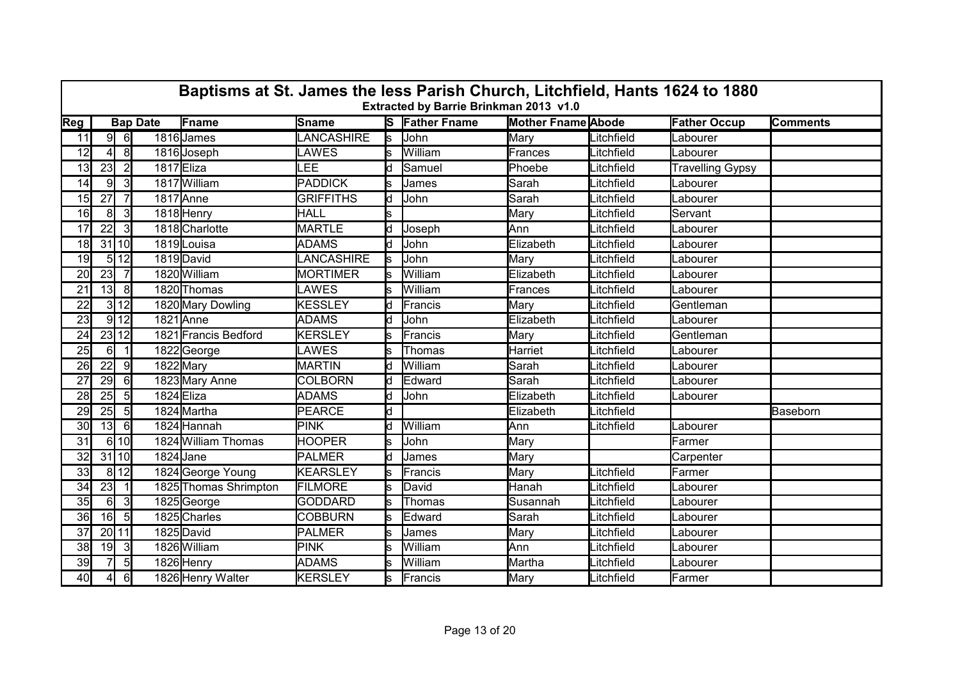|                 | Baptisms at St. James the less Parish Church, Litchfield, Hants 1624 to 1880<br>Extracted by Barrie Brinkman 2013 v1.0 |                |                 |                       |                   |     |                       |                           |            |                         |                 |  |  |  |  |
|-----------------|------------------------------------------------------------------------------------------------------------------------|----------------|-----------------|-----------------------|-------------------|-----|-----------------------|---------------------------|------------|-------------------------|-----------------|--|--|--|--|
| Reg             |                                                                                                                        |                | <b>Bap Date</b> | Fname                 | Sname             |     | <b>S</b> Father Fname | <b>Mother Fname Abode</b> |            | <b>Father Occup</b>     | <b>Comments</b> |  |  |  |  |
| 11              | 9                                                                                                                      | 6              |                 | 1816 James            | <b>LANCASHIRE</b> | ls  | John                  | Mary                      | Litchfield | Labourer                |                 |  |  |  |  |
| 12              | 41                                                                                                                     | 8 <sup>1</sup> |                 | 1816 Joseph           | LAWES             | Ś   | William               | Frances                   | _itchfield | Labourer                |                 |  |  |  |  |
| 13              | 23                                                                                                                     | $\overline{2}$ | 1817Eliza       |                       | LEE               | ld. | Samuel                | Phoebe                    | Litchfield | <b>Travelling Gypsy</b> |                 |  |  |  |  |
| 14              | 9                                                                                                                      | 3              |                 | 1817 William          | PADDICK           |     | James                 | Sarah                     | _itchfield | Labourer                |                 |  |  |  |  |
| 15              | 27                                                                                                                     | $\overline{7}$ |                 | 1817 Anne             | <b>GRIFFITHS</b>  | d   | John                  | Sarah                     | Litchfield | Labourer                |                 |  |  |  |  |
| 16              | 8 <sup>1</sup>                                                                                                         | $\overline{3}$ |                 | 1818 Henry            | HALL              | lS. |                       | Mary                      | _itchfield | Servant                 |                 |  |  |  |  |
| 17              | 22                                                                                                                     | 3              |                 | 1818 Charlotte        | <b>MARTLE</b>     | d   | Joseph                | Ann                       | Litchfield | Labourer                |                 |  |  |  |  |
| 18              |                                                                                                                        | 31 10          |                 | 1819 Louisa           | <b>ADAMS</b>      | ld. | John                  | Elizabeth                 | _itchfield | Labourer                |                 |  |  |  |  |
| 19              |                                                                                                                        | 5 12           |                 | 1819 David            | LANCASHIRE        | s   | John                  | Mary                      | _itchfield | Labourer                |                 |  |  |  |  |
| 20              | 23                                                                                                                     | $\overline{7}$ |                 | 1820 William          | <b>MORTIMER</b>   | ls  | William               | Elizabeth                 | Litchfield | Labourer                |                 |  |  |  |  |
| 21              | 13                                                                                                                     | 8              |                 | 1820 Thomas           | LAWES             |     | William               | Frances                   | Litchfield | Labourer                |                 |  |  |  |  |
| 22              |                                                                                                                        | 3 12           |                 | 1820 Mary Dowling     | <b>KESSLEY</b>    | ld. | Francis               | Mary                      | _itchfield | Gentleman               |                 |  |  |  |  |
| 23              |                                                                                                                        | $9$ 12         |                 | 1821 Anne             | <b>ADAMS</b>      | d   | John                  | Elizabeth                 | _itchfield | Labourer                |                 |  |  |  |  |
| 24              |                                                                                                                        | 23 12          |                 | 1821 Francis Bedford  | <b>KERSLEY</b>    | ls. | Francis               | Mary                      | _itchfield | Gentleman               |                 |  |  |  |  |
| 25              | $6 \mid$                                                                                                               |                |                 | 1822George            | LAWES             | S   | Thomas                | Harriet                   | _itchfield | Labourer                |                 |  |  |  |  |
| 26              | 22                                                                                                                     | 9              | 1822 Mary       |                       | <b>MARTIN</b>     |     | William               | Sarah                     | _itchfield | Labourer                |                 |  |  |  |  |
| 27              | 29                                                                                                                     | 61             |                 | 1823 Mary Anne        | <b>COLBORN</b>    | d   | Edward                | Sarah                     | Litchfield | Labourer                |                 |  |  |  |  |
| 28              | 25                                                                                                                     | 5 <sub>l</sub> | 1824 Eliza      |                       | <b>ADAMS</b>      | d   | John                  | Elizabeth                 | Litchfield | Labourer                |                 |  |  |  |  |
| 29              | 25                                                                                                                     | 5              |                 | 1824 Martha           | PEARCE            | ld. |                       | Elizabeth                 | Litchfield |                         | Baseborn        |  |  |  |  |
| 30              | 13 <sub>l</sub>                                                                                                        | 6              |                 | 1824 Hannah           | PINK              | ld. | William               | Ann                       | Litchfield | Labourer                |                 |  |  |  |  |
| 31              |                                                                                                                        | 6 10           |                 | 1824 William Thomas   | <b>HOOPER</b>     | Ś   | John                  | Mary                      |            | Farmer                  |                 |  |  |  |  |
| 32              |                                                                                                                        | 31 10          | 1824 Jane       |                       | PALMER            | ld. | <b>James</b>          | Mary                      |            | Carpenter               |                 |  |  |  |  |
| 33 <sup>1</sup> |                                                                                                                        | 8 12           |                 | 1824 George Young     | KEARSLEY          | ls. | Francis               | Mary                      | Litchfield | Farmer                  |                 |  |  |  |  |
| 34              | 23                                                                                                                     |                |                 | 1825 Thomas Shrimpton | FILMORE           | s   | David                 | Hanah                     | Litchfield | Labourer                |                 |  |  |  |  |
| 35              | 61                                                                                                                     | 3              |                 | 1825 George           | <b>GODDARD</b>    | ls. | Thomas                | Susannah                  | Litchfield | Labourer                |                 |  |  |  |  |
| 36              | 16                                                                                                                     | $5 \vert$      |                 | 1825 Charles          | <b>COBBURN</b>    | ls. | Edward                | Sarah                     | Litchfield | Labourer                |                 |  |  |  |  |
| 37              |                                                                                                                        | 20 11          |                 | 1825 David            | <b>PALMER</b>     | ls  | James                 | Mary                      | Litchfield | Labourer                |                 |  |  |  |  |
| 38              | 19                                                                                                                     | $\vert$ 3      |                 | 1826 William          | PINK              |     | William               | Ann                       | Litchfield | Labourer                |                 |  |  |  |  |
| 39              |                                                                                                                        | $5 \mid$       |                 | 1826 Henry            | <b>ADAMS</b>      |     | William               | Martha                    | _itchfield | Labourer                |                 |  |  |  |  |
| 40              | 4                                                                                                                      | $6 \mid$       |                 | 1826 Henry Walter     | <b>KERSLEY</b>    | s   | Francis               | Mary                      | Litchfield | Farmer                  |                 |  |  |  |  |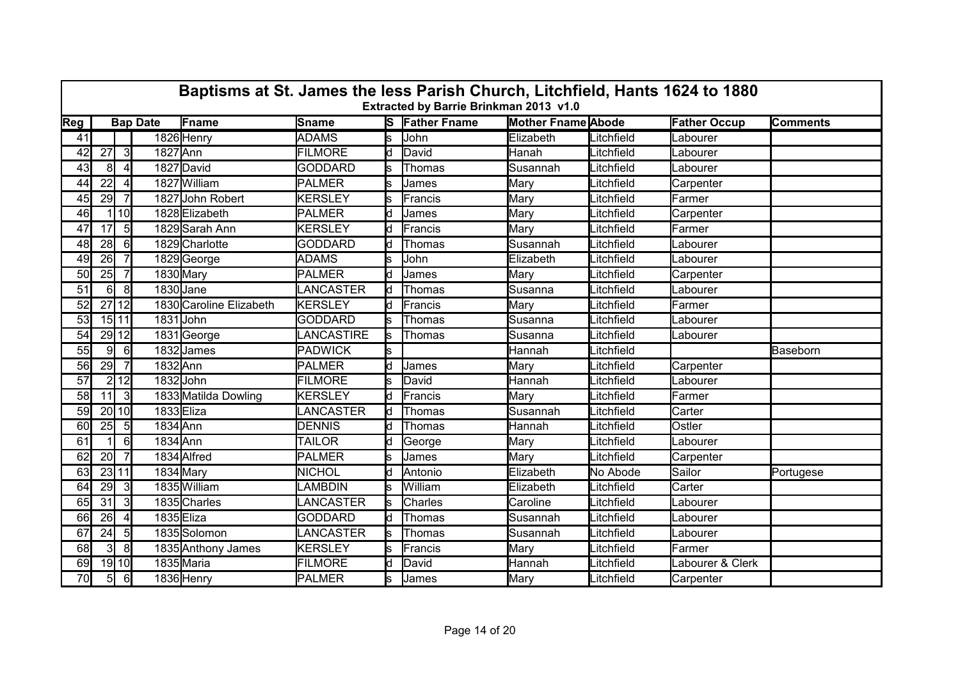|           | Baptisms at St. James the less Parish Church, Litchfield, Hants 1624 to 1880<br>Extracted by Barrie Brinkman 2013 v1.0 |                      |                 |                         |                 |     |                       |                           |            |                     |                 |  |  |  |  |
|-----------|------------------------------------------------------------------------------------------------------------------------|----------------------|-----------------|-------------------------|-----------------|-----|-----------------------|---------------------------|------------|---------------------|-----------------|--|--|--|--|
| Reg       |                                                                                                                        |                      | <b>Bap Date</b> | Fname                   | Sname           |     | <b>S</b> Father Fname | <b>Mother Fname Abode</b> |            | <b>Father Occup</b> | <b>Comments</b> |  |  |  |  |
| 41        |                                                                                                                        |                      |                 | 1826 Henry              | <b>ADAMS</b>    | ls. | John                  | Elizabeth                 | Litchfield | Labourer            |                 |  |  |  |  |
| 42        | 27                                                                                                                     | 3                    | 1827 Ann        |                         | <b>FILMORE</b>  | d   | David                 | Hanah                     | _itchfield | Labourer            |                 |  |  |  |  |
| 43        | 8 <sup>1</sup>                                                                                                         | $\overline{4}$       |                 | 1827 David              | <b>GODDARD</b>  | ls. | <b>Thomas</b>         | Susannah                  | Litchfield | Labourer            |                 |  |  |  |  |
| 44        | 22                                                                                                                     | $\vert$              |                 | 1827 William            | PALMER          |     | James                 | Mary                      | _itchfield | Carpenter           |                 |  |  |  |  |
| 45        | 29                                                                                                                     | $\overline{7}$       |                 | 1827 John Robert        | <b>KERSLEY</b>  | ls. | Francis               | Mary                      | Litchfield | Farmer              |                 |  |  |  |  |
| 46        |                                                                                                                        | I 10                 |                 | 1828 Elizabeth          | PALMER          | ld. | James                 | Mary                      | Litchfield | Carpenter           |                 |  |  |  |  |
| 47        | 17                                                                                                                     | $5 \vert$            |                 | 1829 Sarah Ann          | <b>KERSLEY</b>  | ld. | Francis               | Mary                      | Litchfield | Farmer              |                 |  |  |  |  |
| 48        | 28                                                                                                                     | 61                   |                 | 1829 Charlotte          | <b>GODDARD</b>  | ld. | Thomas                | Susannah                  | _itchfield | Labourer            |                 |  |  |  |  |
| 49        | 26                                                                                                                     |                      |                 | 1829 George             | ADAMS           | s   | John                  | Elizabeth                 | _itchfield | Labourer            |                 |  |  |  |  |
| 50        | 25                                                                                                                     | $\overline{7}$       |                 | 1830 Mary               | PALMER          | ld. | James                 | Mary                      | Litchfield | Carpenter           |                 |  |  |  |  |
| 51        | $6 \mid$                                                                                                               | 8                    | 1830 Jane       |                         | LANCASTER       | Ιd  | <b>Thomas</b>         | Susanna                   | Litchfield | Labourer            |                 |  |  |  |  |
| 52        |                                                                                                                        | $\overline{27}$   12 |                 | 1830 Caroline Elizabeth | KERSLEY         | ld. | Francis               | Mary                      | _itchfield | Farmer              |                 |  |  |  |  |
| 53        |                                                                                                                        | 15 11                | 1831 John       |                         | <b>GODDARD</b>  | s.  | Thomas                | Susanna                   | _itchfield | Labourer            |                 |  |  |  |  |
| 54        |                                                                                                                        | 29 12                |                 | 1831George              | LANCASTIRE      | ls  | Thomas                | Susanna                   | _itchfield | Labourer            |                 |  |  |  |  |
| 55        | 9                                                                                                                      | 6                    |                 | 1832 James              | PADWICK         | ls. |                       | Hannah                    | Litchfield |                     | Baseborn        |  |  |  |  |
| <b>56</b> | 29                                                                                                                     |                      | 1832 Ann        |                         | PALMER          | ld. | James                 | Mary                      | Litchfield | Carpenter           |                 |  |  |  |  |
| 57        |                                                                                                                        | 2 12                 | 1832John        |                         | <b>FILMORE</b>  | s   | David                 | Hannah                    | _itchfield | Labourer            |                 |  |  |  |  |
| 58        | 11                                                                                                                     | 3                    |                 | 1833 Matilda Dowling    | <b>KERSLEY</b>  | ld. | Francis               | Mary                      | Litchfield | Farmer              |                 |  |  |  |  |
| 59        |                                                                                                                        | $20$ 10              | 1833Eliza       |                         | LANCASTER       | Ιd  | Thomas                | Susannah                  | Litchfield | Carter              |                 |  |  |  |  |
| 60        | 25                                                                                                                     | $5 \vert$            | 1834 Ann        |                         | <b>DENNIS</b>   | ld. | Thomas                | Hannah                    | Litchfield | Ostler              |                 |  |  |  |  |
| 61        |                                                                                                                        | $6 \mid$             | 1834 Ann        |                         | <b>TAILOR</b>   |     | George                | Mary                      | _itchfield | Labourer            |                 |  |  |  |  |
| 62        | 20                                                                                                                     | $\overline{7}$       |                 | 1834 Alfred             | PALMER          | s   | James                 | Mary                      | Litchfield | Carpenter           |                 |  |  |  |  |
| 63        |                                                                                                                        | 23 11                |                 | 1834 Mary               | <b>NICHOL</b>   | ld. | Antonio               | Elizabeth                 | No Abode   | Sailor              | Portugese       |  |  |  |  |
| 64        | 29                                                                                                                     | -31                  |                 | 1835 William            | LAMBDIN         |     | William               | Elizabeth                 | Litchfield | Carter              |                 |  |  |  |  |
| 65        | 31                                                                                                                     | $\overline{3}$       |                 | 1835 Charles            | <b>ANCASTER</b> |     | Charles               | Caroline                  | _itchfield | abourer             |                 |  |  |  |  |
| 66        | 26                                                                                                                     | $\vert$              | 1835Eliza       |                         | <b>GODDARD</b>  | d   | Thomas                | Susannah                  | _itchfield | Labourer            |                 |  |  |  |  |
| 67        | 24                                                                                                                     | 5                    |                 | 1835Solomon             | LANCASTER       | ls  | Thomas                | Susannah                  | Litchfield | Labourer            |                 |  |  |  |  |
| 68        | 31                                                                                                                     | 8 <sup>1</sup>       |                 | 1835 Anthony James      | <b>KERSLEY</b>  |     | Francis               | Mary                      | Litchfield | Farmer              |                 |  |  |  |  |
| 69        |                                                                                                                        | 19 10                |                 | 1835 Maria              | <b>FILMORE</b>  | ld. | David                 | Hannah                    | _itchfield | _abourer & Clerk    |                 |  |  |  |  |
| 70        | 5                                                                                                                      | 6                    |                 | 1836 Henry              | PALMER          | s   | James                 | Mary                      | Litchfield | Carpenter           |                 |  |  |  |  |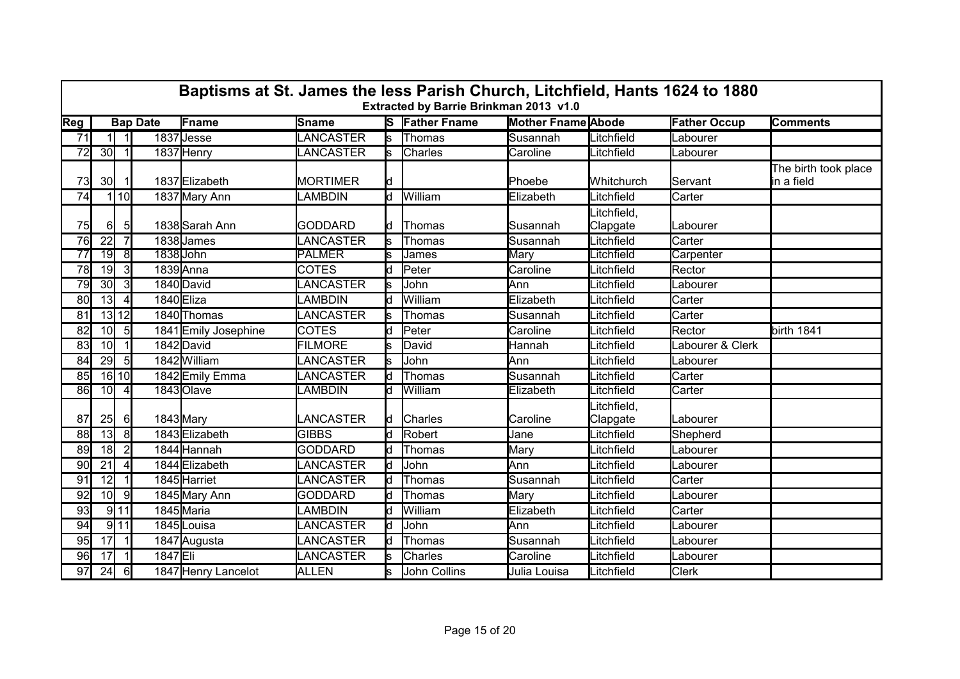|                 | Baptisms at St. James the less Parish Church, Litchfield, Hants 1624 to 1880<br>Extracted by Barrie Brinkman 2013 v1.0 |                |                 |                      |                 |     |                       |                           |                         |                     |                                    |  |  |  |  |
|-----------------|------------------------------------------------------------------------------------------------------------------------|----------------|-----------------|----------------------|-----------------|-----|-----------------------|---------------------------|-------------------------|---------------------|------------------------------------|--|--|--|--|
| Reg             |                                                                                                                        |                | <b>Bap Date</b> | Fname                | Sname           |     | <b>S</b> Father Fname | <b>Mother Fname Abode</b> |                         | <b>Father Occup</b> | <b>Comments</b>                    |  |  |  |  |
| $\overline{71}$ |                                                                                                                        | $\vert$ 1      |                 | 1837 Jesse           | LANCASTER       | ls  | Thomas                | Susannah                  | Litchfield              | Labourer            |                                    |  |  |  |  |
| 72              | 30                                                                                                                     | -1I            |                 | 1837 Henry           | LANCASTER       | ls. | <b>Charles</b>        | Caroline                  | _itchfield              | Labourer            |                                    |  |  |  |  |
| 73              | 30 <sup>l</sup>                                                                                                        |                |                 | 1837 Elizabeth       | <b>MORTIMER</b> | ld. |                       | Phoebe                    | Whitchurch              | IServant            | The birth took place<br>in a field |  |  |  |  |
| 74              |                                                                                                                        | l 10l          |                 | 1837 Mary Ann        | LAMBDIN         | ld. | William               | Elizabeth                 | .itchfield              | Carter              |                                    |  |  |  |  |
| <b>75</b>       | 61                                                                                                                     | $5 \vert$      |                 | 1838 Sarah Ann       | <b>GODDARD</b>  | ld. | Thomas                | Susannah                  | _itchfield,<br>Clapgate | Labourer            |                                    |  |  |  |  |
| 76              | $\overline{22}$                                                                                                        |                |                 | 1838 James           | LANCASTER       |     | Thomas                | Susannah                  | _itchfield              | Carter              |                                    |  |  |  |  |
| $\overline{77}$ | 19                                                                                                                     | $\overline{8}$ | 1838 John       |                      | <b>PALMER</b>   |     | James                 | Mary                      | _itchfield              | Carpenter           |                                    |  |  |  |  |
| 78              | 19                                                                                                                     | $\overline{3}$ |                 | 1839 Anna            | <b>COTES</b>    | d   | Peter                 | Caroline                  | _itchfield              | Rector              |                                    |  |  |  |  |
| 79              | 30 <sup>l</sup>                                                                                                        | 3              |                 | 1840 David           | LANCASTER       | ls  | John                  | Ann                       | _itchfield              | Labourer            |                                    |  |  |  |  |
| 80              | 13 <sup>1</sup>                                                                                                        | $\vert$        | 1840Eliza       |                      | LAMBDIN         | Id. | William               | Elizabeth                 | _itchfield              | Carter              |                                    |  |  |  |  |
| 81              |                                                                                                                        | $13$ $12$      |                 | 1840 Thomas          | <b>ANCASTER</b> |     | <b>Thomas</b>         | Susannah                  | _itchfield              | Carter              |                                    |  |  |  |  |
| 82              | 10 <sup>1</sup>                                                                                                        | 5              |                 | 1841 Emily Josephine | <b>COTES</b>    | d.  | Peter                 | Caroline                  | _itchfield              | Rector              | birth 1841                         |  |  |  |  |
| 83              | 10 <sup>1</sup>                                                                                                        | $\vert$ 1      |                 | 1842 David           | <b>FILMORE</b>  |     | David                 | Hannah                    | _itchfield              | Labourer & Clerk    |                                    |  |  |  |  |
| 84              | 29                                                                                                                     | $5 \vert$      |                 | 1842 William         | LANCASTER       |     | John                  | Ann                       | _itchfield              | Labourer            |                                    |  |  |  |  |
| 85              |                                                                                                                        | 16 10          |                 | 1842 Emily Emma      | LANCASTER       |     | Thomas                | Susannah                  | _itchfield              | Carter              |                                    |  |  |  |  |
| 86              | 10                                                                                                                     | -41            |                 | 1843 Olave           | LAMBDIN         | d   | William               | Elizabeth                 | <b>itchfield</b>        | Carter              |                                    |  |  |  |  |
| 87              | 25                                                                                                                     | $6 \mid$       | 1843 Mary       |                      | LANCASTER       | ld. | <b>Charles</b>        | Caroline                  | .itchfield,<br>Clapgate | Labourer            |                                    |  |  |  |  |
| 88              | 13                                                                                                                     | 8 <sup>1</sup> |                 | 1843 Elizabeth       | <b>GIBBS</b>    |     | Robert                | Jane                      | _itchfield              | Shepherd            |                                    |  |  |  |  |
| 89              | 18                                                                                                                     | $\overline{2}$ |                 | 1844 Hannah          | <b>GODDARD</b>  | IЧ  | Thomas                | Mary                      | _itchfield              | Labourer            |                                    |  |  |  |  |
| 90 <sub>l</sub> | 21                                                                                                                     | $\overline{4}$ |                 | 1844 Elizabeth       | LANCASTER       | Ιd  | John                  | Ann                       | _itchfield              | Labourer            |                                    |  |  |  |  |
| 91              | 12                                                                                                                     | -1 I           |                 | 1845 Harriet         | LANCASTER       | ld. | Thomas                | Susannah                  | _itchfield              | Carter              |                                    |  |  |  |  |
| 92              | 10 <sup>1</sup>                                                                                                        | -91            |                 | 1845 Mary Ann        | <b>GODDARD</b>  |     | Thomas                | Mary                      | _itchfield              | _abourer            |                                    |  |  |  |  |
| 93              |                                                                                                                        | $9$ 11         |                 | 1845 Maria           | LAMBDIN         | d   | William               | Elizabeth                 | _itchfield              | Carter              |                                    |  |  |  |  |
| 94              |                                                                                                                        | $9$ 11         |                 | 1845 Louisa          | LANCASTER       | Ιd  | John                  | Ann                       | _itchfield              | Labourer            |                                    |  |  |  |  |
| 95              | 17                                                                                                                     | $\vert$ 1      |                 | 1847 Augusta         | LANCASTER       |     | Thomas                | Susannah                  | _itchfield              | Labourer            |                                    |  |  |  |  |
| 96              | 17                                                                                                                     |                | 1847 Eli        |                      | LANCASTER       |     | Charles               | Caroline                  | _itchfield              | _abourer            |                                    |  |  |  |  |
| 97              | 24                                                                                                                     | 6              |                 | 1847 Henry Lancelot  | <b>ALLEN</b>    |     | John Collins          | Julia Louisa              | Litchfield              | <b>Clerk</b>        |                                    |  |  |  |  |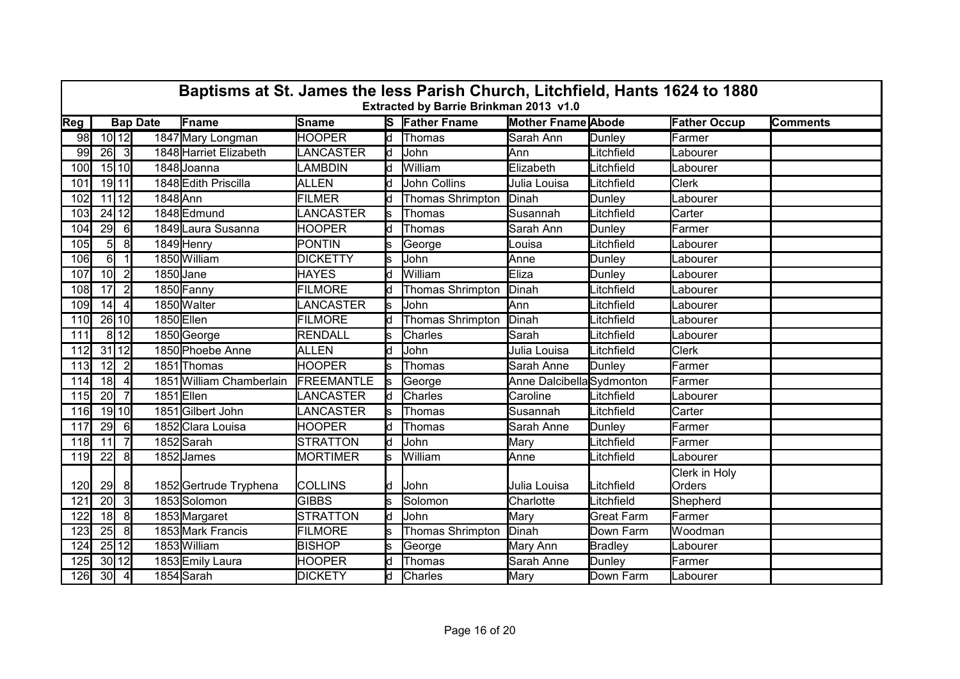|     | Baptisms at St. James the less Parish Church, Litchfield, Hants 1624 to 1880<br>Extracted by Barrie Brinkman 2013 v1.0 |                |                 |                          |                  |     |                       |                           |                   |                         |                 |  |  |  |  |
|-----|------------------------------------------------------------------------------------------------------------------------|----------------|-----------------|--------------------------|------------------|-----|-----------------------|---------------------------|-------------------|-------------------------|-----------------|--|--|--|--|
| Reg |                                                                                                                        |                | <b>Bap Date</b> | Fname                    | Sname            |     | <b>S</b> Father Fname | <b>Mother Fname Abode</b> |                   | <b>Father Occup</b>     | <b>Comments</b> |  |  |  |  |
| 98  |                                                                                                                        | $10$ 12        |                 | 1847 Mary Longman        | <b>HOOPER</b>    |     | d Thomas              | Sarah Ann                 | Dunley            | Farmer                  |                 |  |  |  |  |
| 99  | 26                                                                                                                     | 3              |                 | 1848 Harriet Elizabeth   | <b>LANCASTER</b> | Ιd  | John                  | Ann                       | Litchfield        | Labourer                |                 |  |  |  |  |
| 100 |                                                                                                                        | $15$ 10        |                 | 1848 Joanna              | <b>LAMBDIN</b>   | Iq. | William               | Elizabeth                 | Litchfield        | <b>I</b> Labourer       |                 |  |  |  |  |
| 101 |                                                                                                                        | 19 11          |                 | 1848 Edith Priscilla     | ALLEN            |     | <b>John Collins</b>   | Julia Louisa              | Litchfield        | <b>Clerk</b>            |                 |  |  |  |  |
| 102 |                                                                                                                        | $11$ 12        | 1848 Ann        |                          | <b>FILMER</b>    |     | Thomas Shrimpton      | Dinah                     | Dunley            | Labourer                |                 |  |  |  |  |
| 103 |                                                                                                                        | 24 12          |                 | 1848 Edmund              | LANCASTER        | ls. | Thomas                | Susannah                  | Litchfield        | Carter                  |                 |  |  |  |  |
| 104 | 29                                                                                                                     | 6              |                 | 1849 Laura Susanna       | <b>HOOPER</b>    | ld. | Thomas                | Sarah Ann                 | Dunley            | Farmer                  |                 |  |  |  |  |
| 105 | 5                                                                                                                      | 8 <sup>1</sup> |                 | 1849 Henry               | <b>PONTIN</b>    |     | George                | _ouisa                    | _itchfield        | Labourer                |                 |  |  |  |  |
| 106 | 6                                                                                                                      | $\overline{1}$ |                 | 1850 William             | <b>DICKETTY</b>  | Ś   | John                  | Anne                      | Dunley            | Labourer                |                 |  |  |  |  |
| 107 | 10 <sup>1</sup>                                                                                                        | $\overline{2}$ | 1850 Jane       |                          | <b>HAYES</b>     | ld. | William               | Eliza                     | Dunley            | Labourer                |                 |  |  |  |  |
| 108 | 17                                                                                                                     | $\overline{2}$ |                 | 1850 Fanny               | <b>FILMORE</b>   |     | Thomas Shrimpton      | Dinah                     | _itchfield        | Labourer                |                 |  |  |  |  |
| 109 | 14                                                                                                                     | $\overline{4}$ |                 | 1850 Walter              | LANCASTER        | s   | John                  | Ann                       | Litchfield        | Labourer                |                 |  |  |  |  |
| 110 |                                                                                                                        | 26 10          | 1850Ellen       |                          | <b>FILMORE</b>   | ld. | Thomas Shrimpton      | Dinah                     | Litchfield        | Labourer                |                 |  |  |  |  |
| 111 |                                                                                                                        | 8 12           |                 | 1850 George              | RENDALL          | S   | Charles               | Sarah                     | Litchfield        | Labourer                |                 |  |  |  |  |
| 112 | 31 12                                                                                                                  |                |                 | 1850 Phoebe Anne         | <b>ALLEN</b>     | ld. | John                  | Julia Louisa              | Litchfield        | <b>Clerk</b>            |                 |  |  |  |  |
| 113 | 12                                                                                                                     | $\overline{2}$ |                 | 1851 Thomas              | <b>HOOPER</b>    |     | Thomas                | Sarah Anne                | Dunley            | Farmer                  |                 |  |  |  |  |
| 114 | 18                                                                                                                     | $\overline{4}$ |                 | 1851 William Chamberlain | FREEMANTLE       | ls  | George                | Anne Dalcibella Sydmonton |                   | Farmer                  |                 |  |  |  |  |
| 115 | 20                                                                                                                     | $\overline{7}$ | 1851Ellen       |                          | LANCASTER        | ld. | Charles               | Caroline                  | Litchfield        | Labourer                |                 |  |  |  |  |
| 116 |                                                                                                                        | 19 10          |                 | 1851 Gilbert John        | LANCASTER        |     | Thomas                | Susannah                  | Litchfield        | Carter                  |                 |  |  |  |  |
| 117 | 29                                                                                                                     | $6 \mid$       |                 | 1852 Clara Louisa        | <b>HOOPER</b>    | d   | Thomas                | Sarah Anne                | Dunley            | Farmer                  |                 |  |  |  |  |
| 118 | 11                                                                                                                     | $\overline{7}$ |                 | 1852Sarah                | <b>STRATTON</b>  | ld. | John                  | Mary                      | Litchfield        | Farmer                  |                 |  |  |  |  |
| 119 | 22                                                                                                                     | 8              |                 | 1852 James               | <b>MORTIMER</b>  | ls. | William               | Anne                      | Litchfield        | Labourer                |                 |  |  |  |  |
| 120 | 29                                                                                                                     | 8              |                 | 1852 Gertrude Tryphena   | <b>COLLINS</b>   | ld. | John                  | Julia Louisa              | Litchfield        | Clerk in Holy<br>Orders |                 |  |  |  |  |
| 121 | 20 <sub>l</sub>                                                                                                        | 3 <sup>l</sup> |                 | 1853Solomon              | <b>GIBBS</b>     | S   | Solomon               | Charlotte                 | Litchfield        | Shepherd                |                 |  |  |  |  |
| 122 | 18                                                                                                                     | 8              |                 | 1853 Margaret            | <b>STRATTON</b>  | ld  | John                  | Mary                      | <b>Great Farm</b> | Farmer                  |                 |  |  |  |  |
| 123 | 25                                                                                                                     | 8              |                 | 1853 Mark Francis        | <b>FILMORE</b>   |     | Thomas Shrimpton      | Dinah                     | Down Farm         | Woodman                 |                 |  |  |  |  |
| 124 |                                                                                                                        | 25 12          |                 | 1853 William             | <b>BISHOP</b>    |     | George                | Mary Ann                  | <b>Bradley</b>    | Labourer                |                 |  |  |  |  |
| 125 |                                                                                                                        | 30 12          |                 | 1853 Emily Laura         | <b>HOOPER</b>    | ld. | Thomas                | Sarah Anne                | Dunley            | Farmer                  |                 |  |  |  |  |
| 126 | 30                                                                                                                     | $\overline{4}$ |                 | 1854 Sarah               | <b>DICKETY</b>   | ld. | Charles               | Mary                      | Down Farm         | Labourer                |                 |  |  |  |  |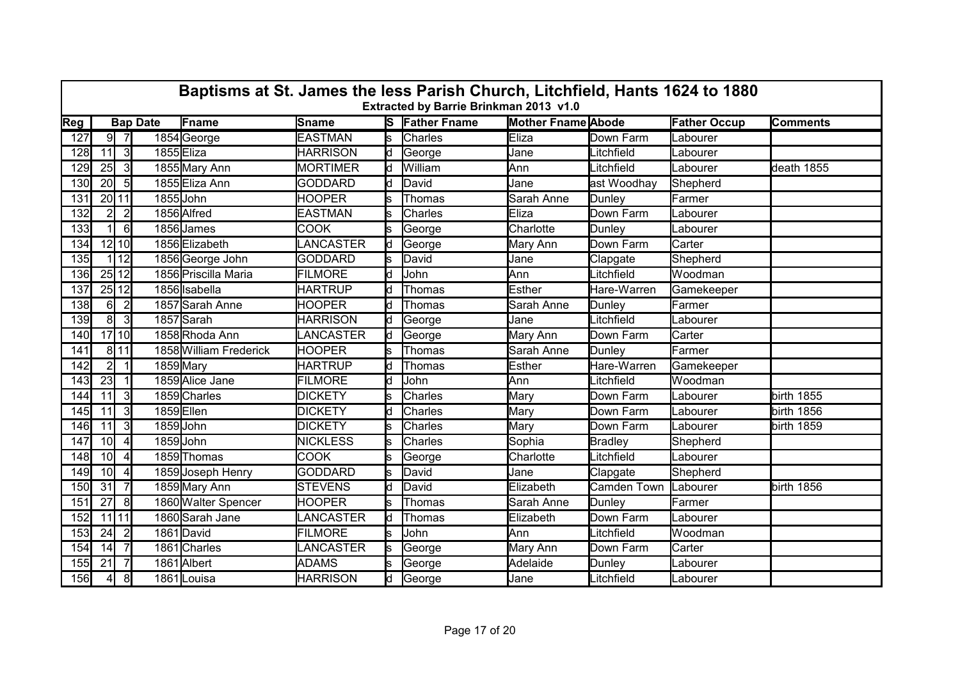|     | Baptisms at St. James the less Parish Church, Litchfield, Hants 1624 to 1880<br>Extracted by Barrie Brinkman 2013 v1.0 |                |                 |                        |                 |     |                       |                           |                |                     |                 |  |  |  |
|-----|------------------------------------------------------------------------------------------------------------------------|----------------|-----------------|------------------------|-----------------|-----|-----------------------|---------------------------|----------------|---------------------|-----------------|--|--|--|
| Reg |                                                                                                                        |                | <b>Bap Date</b> | Fname                  | Sname           |     | <b>S</b> Father Fname | <b>Mother Fname Abode</b> |                | <b>Father Occup</b> | <b>Comments</b> |  |  |  |
| 127 |                                                                                                                        | $9 \mid 7$     |                 | 1854 George            | <b>EASTMAN</b>  | ls. | <b>Charles</b>        | <b>Eliza</b>              | Down Farm      | Labourer            |                 |  |  |  |
| 128 | 11                                                                                                                     | 3              | 1855 Eliza      |                        | <b>HARRISON</b> | ld  | George                | Jane                      | _itchfield     | Labourer            |                 |  |  |  |
| 129 | 25                                                                                                                     | 3              |                 | 1855 Mary Ann          | <b>MORTIMER</b> | ld. | William               | Ann                       | Litchfield     | Labourer            | death 1855      |  |  |  |
| 130 | 20 <sup>1</sup>                                                                                                        | 5 <sub>l</sub> |                 | 1855 Eliza Ann         | <b>GODDARD</b>  | ld  | David                 | Jane                      | ast Woodhay    | Shepherd            |                 |  |  |  |
| 131 |                                                                                                                        | 20 11          | 1855JJohn       |                        | <b>HOOPER</b>   |     | Thomas                | Sarah Anne                | Dunley         | Farmer              |                 |  |  |  |
| 132 | $\overline{2}$                                                                                                         | $\overline{2}$ |                 | 1856 Alfred            | <b>EASTMAN</b>  | ls  | Charles               | Eliza                     | Down Farm      | Labourer            |                 |  |  |  |
| 133 |                                                                                                                        | $6 \mid$       |                 | 1856 James             | <b>COOK</b>     |     | George                | Charlotte                 | Dunley         | _abourer            |                 |  |  |  |
| 134 |                                                                                                                        | $12$ 10        |                 | 1856 Elizabeth         | LANCASTER       | Ιd  | George                | Mary Ann                  | Down Farm      | Carter              |                 |  |  |  |
| 135 |                                                                                                                        | 12             |                 | 1856 George John       | <b>GODDARD</b>  | s.  | David                 | Jane                      | Clapgate       | Shepherd            |                 |  |  |  |
| 136 |                                                                                                                        | 25 12          |                 | 1856 Priscilla Maria   | <b>FILMORE</b>  | ld. | John                  | Ann                       | Litchfield     | Woodman             |                 |  |  |  |
| 137 |                                                                                                                        | 25 12          |                 | 1856 Isabella          | <b>HARTRUP</b>  | ld. | Thomas                | Esther                    | Hare-Warren    | Gamekeeper          |                 |  |  |  |
| 138 | $6 \mid$                                                                                                               | $\overline{2}$ |                 | 1857 Sarah Anne        | <b>HOOPER</b>   |     | Thomas                | Sarah Anne                | Dunley         | lFarmer             |                 |  |  |  |
| 139 | 8 <sup>1</sup>                                                                                                         | 3              |                 | 1857 Sarah             | <b>HARRISON</b> | ld. | George                | Jane                      | _itchfield     | _abourer            |                 |  |  |  |
| 140 |                                                                                                                        | 17 10          |                 | 1858Rhoda Ann          | LANCASTER       | ld. | George                | Mary Ann                  | Down Farm      | Carter              |                 |  |  |  |
| 141 |                                                                                                                        | 8 11           |                 | 1858 William Frederick | <b>HOOPER</b>   |     | Thomas                | Sarah Anne                | Dunley         | <b>Farmer</b>       |                 |  |  |  |
| 142 | 21                                                                                                                     |                | 1859 Mary       |                        | <b>HARTRUP</b>  |     | Thomas                | Esther                    | Hare-Warren    | Gamekeeper          |                 |  |  |  |
| 143 | 23                                                                                                                     |                |                 | 1859 Alice Jane        | <b>FILMORE</b>  | d   | John                  | Ann                       | Litchfield     | Woodman             |                 |  |  |  |
| 144 | 11                                                                                                                     | $\overline{3}$ |                 | 1859 Charles           | <b>DICKETY</b>  |     | Charles               | Mary                      | Down Farm      | Labourer            | birth 1855      |  |  |  |
| 145 | 11                                                                                                                     | $\overline{3}$ | 1859Ellen       |                        | <b>DICKETY</b>  | d   | <b>Charles</b>        | Mary                      | Down Farm      | _abourer            | birth 1856      |  |  |  |
| 146 | 11                                                                                                                     | $\overline{3}$ | 1859 John       |                        | <b>DICKETY</b>  |     | <b>Charles</b>        | Mary                      | Down Farm      | Labourer            | birth 1859      |  |  |  |
| 147 | 10 <sup>1</sup>                                                                                                        | $\overline{4}$ | 1859John        |                        | <b>NICKLESS</b> | s   | <b>Charles</b>        | Sophia                    | <b>Bradley</b> | Shepherd            |                 |  |  |  |
| 148 | 10 <sup>1</sup>                                                                                                        | $\overline{4}$ |                 | 1859 Thomas            | <b>COOK</b>     |     | George                | Charlotte                 | _itchfield     | Labourer            |                 |  |  |  |
| 149 | 10 <sup>1</sup>                                                                                                        | $\vert$        |                 | 1859 Joseph Henry      | <b>GODDARD</b>  | ls  | David                 | Jane                      | Clapgate       | Shepherd            |                 |  |  |  |
| 150 | 31                                                                                                                     | 71             |                 | 1859 Mary Ann          | <b>STEVENS</b>  | d   | David                 | Elizabeth                 | Camden Town    | Labourer            | birth 1856      |  |  |  |
| 151 | 27                                                                                                                     | 81             |                 | 1860 Walter Spencer    | <b>HOOPER</b>   |     | Thomas                | Sarah Anne                | Dunley         | Farmer              |                 |  |  |  |
| 152 |                                                                                                                        | $11$ 11        |                 | 1860 Sarah Jane        | LANCASTER       | d   | Thomas                | Elizabeth                 | Down Farm      | Labourer            |                 |  |  |  |
| 153 | 24                                                                                                                     | $\overline{2}$ |                 | 1861 David             | <b>FILMORE</b>  | S   | John                  | Ann                       | _itchfield     | Woodman             |                 |  |  |  |
| 154 | 14                                                                                                                     | 71             |                 | 1861 Charles           | LANCASTER       |     | George                | Mary Ann                  | Down Farm      | Carter              |                 |  |  |  |
| 155 | 21                                                                                                                     | 71             |                 | 1861 Albert            | <b>ADAMS</b>    |     | George                | Adelaide                  | Dunley         | _abourer            |                 |  |  |  |
| 156 | $\overline{4}$                                                                                                         | 8 <sup>1</sup> |                 | 1861Louisa             | <b>HARRISON</b> | d   | George                | Jane                      | Litchfield     | Labourer            |                 |  |  |  |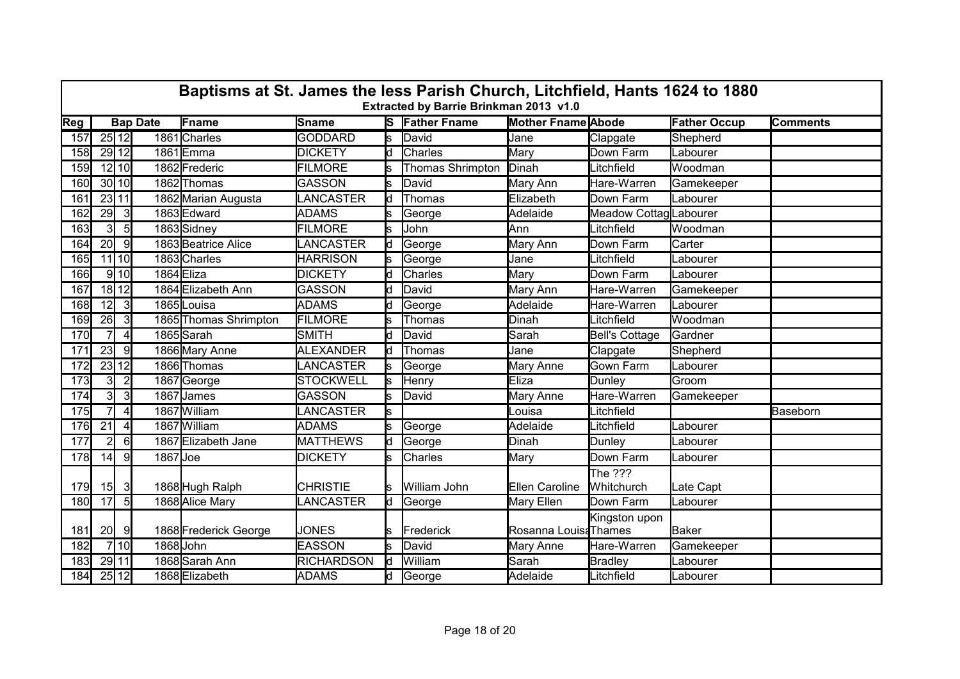|            | Baptisms at St. James the less Parish Church, Litchfield, Hants 1624 to 1880<br>Extracted by Barrie Brinkman 2013 v1.0 |                |                 |                       |                   |     |                       |                           |                       |                     |                 |  |  |  |  |
|------------|------------------------------------------------------------------------------------------------------------------------|----------------|-----------------|-----------------------|-------------------|-----|-----------------------|---------------------------|-----------------------|---------------------|-----------------|--|--|--|--|
| <b>Reg</b> |                                                                                                                        |                | <b>Bap Date</b> | Fname                 | Sname             |     | <b>S</b> Father Fname | <b>Mother Fname Abode</b> |                       | <b>Father Occup</b> | <b>Comments</b> |  |  |  |  |
| 157        |                                                                                                                        | 25 12          |                 | 1861 Charles          | <b>GODDARD</b>    | ls  | David                 | Jane                      | Clapgate              | Shepherd            |                 |  |  |  |  |
| 158        |                                                                                                                        | 29 12          |                 | 1861Emma              | <b>DICKETY</b>    | ld. | Charles               | Mary                      | Down Farm             | Labourer            |                 |  |  |  |  |
| 159        |                                                                                                                        | $12$ 10        |                 | 1862 Frederic         | <b>FILMORE</b>    |     | Thomas Shrimpton      | Dinah                     | Litchfield            | Woodman             |                 |  |  |  |  |
| 160        |                                                                                                                        | 30 10          |                 | 1862 Thomas           | <b>GASSON</b>     | s   | David                 | Mary Ann                  | Hare-Warren           | Gamekeeper          |                 |  |  |  |  |
| 161        |                                                                                                                        | 23 11          |                 | 1862 Marian Augusta   | <b>LANCASTER</b>  | Ιd  | Thomas                | Elizabeth                 | Down Farm             | Labourer            |                 |  |  |  |  |
| 162        | 29                                                                                                                     | $\mathbf{3}$   |                 | 1863 Edward           | <b>ADAMS</b>      | lS. | George                | Adelaide                  | Meadow CottagLabourer |                     |                 |  |  |  |  |
| 163        | $\overline{3}$                                                                                                         | 5              |                 | 1863 Sidney           | <b>FILMORE</b>    | s   | John                  | Ann                       | Litchfield            | Woodman             |                 |  |  |  |  |
| 164        | 20                                                                                                                     | -91            |                 | 1863 Beatrice Alice   | LANCASTER         | ld. | George                | Mary Ann                  | Down Farm             | Carter              |                 |  |  |  |  |
| 165        |                                                                                                                        | $11$ 10        |                 | 1863 Charles          | <b>HARRISON</b>   | ls. | George                | Jane                      | Litchfield            | Labourer            |                 |  |  |  |  |
| 166        |                                                                                                                        | $9$ 10         | 1864 Eliza      |                       | <b>DICKETY</b>    | ld  | Charles               | Mary                      | Down Farm             | Labourer            |                 |  |  |  |  |
| 167        |                                                                                                                        | 18 12          |                 | 1864 Elizabeth Ann    | <b>GASSON</b>     | ld. | David                 | Mary Ann                  | Hare-Warren           | Gamekeeper          |                 |  |  |  |  |
| 168        | 12                                                                                                                     | $\mathbf{3}$   |                 | 1865 Louisa           | <b>ADAMS</b>      | ld. | George                | Adelaide                  | Hare-Warren           | Labourer            |                 |  |  |  |  |
| 169        | 26                                                                                                                     | $\mathbf{3}$   |                 | 1865 Thomas Shrimpton | <b>FILMORE</b>    | S   | Thomas                | Dinah                     | Litchfield            | <b>Woodman</b>      |                 |  |  |  |  |
| 170        | $\overline{7}$                                                                                                         | $\overline{4}$ |                 | 1865 Sarah            | SMITH             | ld  | David                 | Sarah                     | <b>Bell's Cottage</b> | Gardner             |                 |  |  |  |  |
| 171        | 23                                                                                                                     | -91            |                 | 1866 Mary Anne        | <b>ALEXANDER</b>  | ld. | Thomas                | Jane                      | Clapgate              | Shepherd            |                 |  |  |  |  |
| 172        |                                                                                                                        | 23 12          |                 | 1866 Thomas           | LANCASTER         | s   | George                | Mary Anne                 | <b>Gown Farm</b>      | Labourer            |                 |  |  |  |  |
| 173        | $\overline{\mathbf{3}}$                                                                                                | $\overline{2}$ |                 | 1867 George           | <b>STOCKWELL</b>  | s   | Henry                 | Eliza                     | Dunley                | Groom               |                 |  |  |  |  |
| 174        | 3                                                                                                                      | 3              |                 | 1867 James            | <b>GASSON</b>     | s   | David                 | Mary Anne                 | Hare-Warren           | Gamekeeper          |                 |  |  |  |  |
| 175        | $\overline{7}$                                                                                                         | $\vert$        |                 | 1867 William          | LANCASTER         | ls  |                       | Louisa                    | Litchfield            |                     | Baseborn        |  |  |  |  |
| 176        | 21                                                                                                                     | $\overline{4}$ |                 | 1867 William          | <b>ADAMS</b>      | ls. | George                | Adelaide                  | Litchfield            | Labourer            |                 |  |  |  |  |
| 177        | $\overline{2}$                                                                                                         | 6              |                 | 1867 Elizabeth Jane   | <b>MATTHEWS</b>   | Ιd  | George                | Dinah                     | Dunley                | Labourer            |                 |  |  |  |  |
| 178        | 14                                                                                                                     | 9              | 1867 Joe        |                       | <b>DICKETY</b>    | s   | <b>Charles</b>        | Mary                      | Down Farm             | Labourer            |                 |  |  |  |  |
|            |                                                                                                                        |                |                 |                       |                   |     |                       |                           | The $222$             |                     |                 |  |  |  |  |
| 179        | 15                                                                                                                     | 3              |                 | 1868 Hugh Ralph       | <b>CHRISTIE</b>   |     | William John          | Ellen Caroline            | Whitchurch            | Late Capt           |                 |  |  |  |  |
| 180        | 17                                                                                                                     | $5 \vert$      |                 | 1868 Alice Mary       | <b>ANCASTER</b>   | ld  | George                | Mary Ellen                | Down Farm             | Labourer            |                 |  |  |  |  |
|            |                                                                                                                        |                |                 |                       |                   |     |                       |                           | Kingston upon         |                     |                 |  |  |  |  |
| 181        | 20 <sup>1</sup>                                                                                                        | -9             |                 | 1868 Frederick George | <b>JONES</b>      | ls  | Frederick             | Rosanna Louis Thames      |                       | Baker               |                 |  |  |  |  |
| 182        |                                                                                                                        | 7 10           | 1868 John       |                       | <b>EASSON</b>     | s   | David                 | Mary Anne                 | Hare-Warren           | Gamekeeper          |                 |  |  |  |  |
| 183        |                                                                                                                        | 29 11          |                 | 1868 Sarah Ann        | <b>RICHARDSON</b> | ld  | William               | Sarah                     | <b>Bradley</b>        | _abourer            |                 |  |  |  |  |
| 184        |                                                                                                                        | 25 12          |                 | 1868 Elizabeth        | <b>ADAMS</b>      | ld  | George                | Adelaide                  | Litchfield            | Labourer            |                 |  |  |  |  |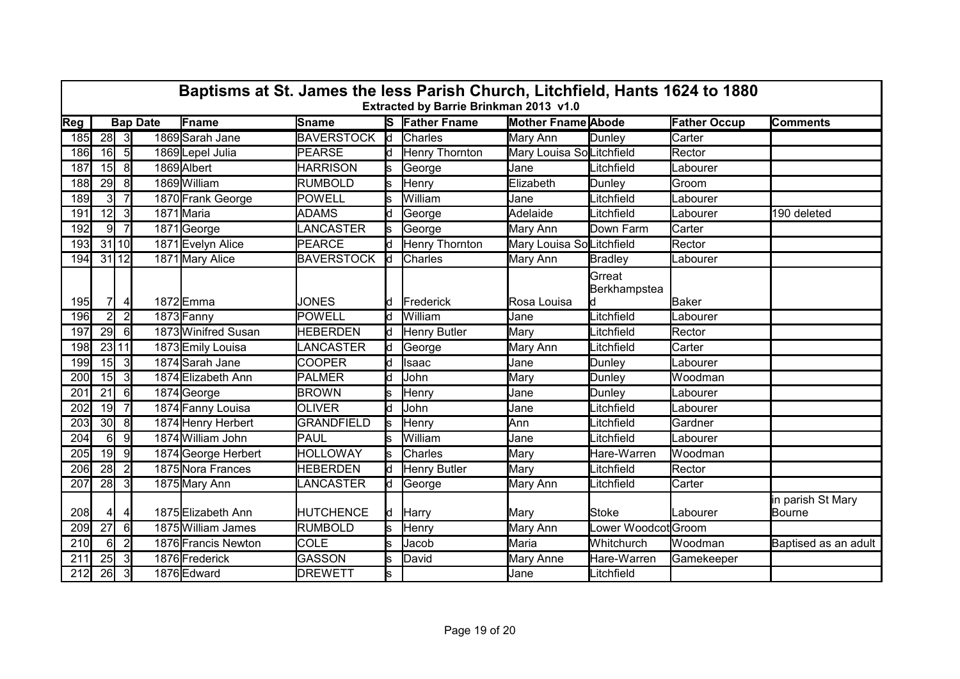|            | Baptisms at St. James the less Parish Church, Litchfield, Hants 1624 to 1880<br>Extracted by Barrie Brinkman 2013 v1.0 |                |                 |                     |                   |                         |                       |                           |                                  |                     |                             |  |  |  |  |
|------------|------------------------------------------------------------------------------------------------------------------------|----------------|-----------------|---------------------|-------------------|-------------------------|-----------------------|---------------------------|----------------------------------|---------------------|-----------------------------|--|--|--|--|
| Reg        |                                                                                                                        |                | <b>Bap Date</b> | Fname               | <b>Sname</b>      |                         | <b>S</b> Father Fname | <b>Mother Fname Abode</b> |                                  | <b>Father Occup</b> | <b>Comments</b>             |  |  |  |  |
| 185        | $28$ 3                                                                                                                 |                |                 | 1869 Sarah Jane     | <b>BAVERSTOCK</b> | $\overline{\mathsf{d}}$ | Charles               | Mary Ann                  | Dunley                           | Carter              |                             |  |  |  |  |
| 186        | 16                                                                                                                     | 5              |                 | 1869Lepel Julia     | <b>PEARSE</b>     | ld.                     | <b>Henry Thornton</b> | Mary Louisa SoLitchfield  |                                  | Rector              |                             |  |  |  |  |
| 187        | 15                                                                                                                     | 8              |                 | 1869 Albert         | <b>HARRISON</b>   |                         | George                | Jane                      | Litchfield                       | Labourer            |                             |  |  |  |  |
| 188        | 29                                                                                                                     | 8              |                 | 1869 William        | <b>RUMBOLD</b>    | ls                      | Henry                 | Elizabeth                 | Dunley                           | Groom               |                             |  |  |  |  |
| 189        | $\overline{3}$                                                                                                         | 7              |                 | 1870 Frank George   | POWELL            |                         | William               | Jane                      | Litchfield                       | Labourer            |                             |  |  |  |  |
| 191        | 12                                                                                                                     | 3              |                 | 1871 Maria          | <b>ADAMS</b>      | ld.                     | George                | Adelaide                  | Litchfield                       | Labourer            | 190 deleted                 |  |  |  |  |
| 192        | 9                                                                                                                      | $\overline{7}$ |                 | 1871George          | LANCASTER         |                         | George                | Mary Ann                  | Down Farm                        | Carter              |                             |  |  |  |  |
| <b>193</b> |                                                                                                                        | 31110          |                 | 1871 Evelyn Alice   | <b>PEARCE</b>     | ld.                     | <b>Henry Thornton</b> | Mary Louisa SoLitchfield  |                                  | Rector              |                             |  |  |  |  |
| 194        | 31 12                                                                                                                  |                |                 | 1871 Mary Alice     | <b>BAVERSTOCK</b> | ld                      | Charles               | Mary Ann                  | <b>Bradley</b>                   | Labourer            |                             |  |  |  |  |
| 195        | 7                                                                                                                      | 4              |                 | 1872Emma            | <b>JONES</b>      | ld.                     | Frederick             | Rosa Louisa               | Grreat<br>Berkhampstea           | Baker               |                             |  |  |  |  |
| 196        | 2                                                                                                                      | $\overline{2}$ |                 | 1873 Fanny          | POWELL            | Ιd                      | William               | Jane                      | _itchfield                       | Labourer            |                             |  |  |  |  |
| 197        | 29                                                                                                                     | 6              |                 | 1873 Winifred Susan | <b>HEBERDEN</b>   | ld.                     | <b>Henry Butler</b>   | Mary                      | _itchfield                       | Rector              |                             |  |  |  |  |
| 198        |                                                                                                                        | 23 11          |                 | 1873 Emily Louisa   | LANCASTER         | ld.                     | George                | Mary Ann                  | _itchfield                       | Carter              |                             |  |  |  |  |
| 199        | 15                                                                                                                     | 3              |                 | 1874 Sarah Jane     | <b>COOPER</b>     | ld.                     | Isaac                 | Jane                      | Dunley                           | Labourer            |                             |  |  |  |  |
| 200        | 15                                                                                                                     | $\overline{3}$ |                 | 1874 Elizabeth Ann  | PALMER            |                         | John                  | Mary                      | Dunley                           | Woodman             |                             |  |  |  |  |
| 201        | 21                                                                                                                     | $6 \mid$       |                 | 1874 George         | <b>BROWN</b>      |                         | Henry                 | Jane                      | Dunley                           | _abourer            |                             |  |  |  |  |
| 202        | 19                                                                                                                     | $\overline{7}$ |                 | 1874 Fanny Louisa   | <b>OLIVER</b>     | ld.                     | John                  | Jane                      | _itchfield                       | Labourer            |                             |  |  |  |  |
| 203        | 30 <sup>l</sup>                                                                                                        | 8              |                 | 1874 Henry Herbert  | <b>GRANDFIELD</b> | ls                      | Henry                 | Ann                       | _itchfield                       | Gardner             |                             |  |  |  |  |
| 204        | $6 \mid$                                                                                                               | 9              |                 | 1874 William John   | PAUL              | ls                      | William               | Jane                      | itchfield                        | Labourer            |                             |  |  |  |  |
| 205        | 19                                                                                                                     | 9              |                 | 1874 George Herbert | <b>HOLLOWAY</b>   | ls                      | Charles               | Mary                      | Hare-Warren                      | Woodman             |                             |  |  |  |  |
| 206        | 28                                                                                                                     | $\overline{2}$ |                 | 1875 Nora Frances   | <b>HEBERDEN</b>   | ld.                     | Henry Butler          | Mary                      | _itchfield                       | Rector              |                             |  |  |  |  |
| 207        | 28                                                                                                                     | 3I             |                 | 1875 Mary Ann       | LANCASTER         | ld.                     | George                | Mary Ann                  | _itchfield                       | Carter              |                             |  |  |  |  |
| 208        | 41                                                                                                                     | 41             |                 | 1875 Elizabeth Ann  | <b>HUTCHENCE</b>  | ld.                     | Harry                 | Mary                      | <b>Stoke</b>                     | Labourer            | in parish St Mary<br>Bourne |  |  |  |  |
| 209        | 27                                                                                                                     | $6 \mid$       |                 | 1875 William James  | <b>RUMBOLD</b>    | ls                      | Henry                 | Mary Ann                  | _ower Woodcot <sup>l</sup> Groom |                     |                             |  |  |  |  |
| 210        | $6 \mid$                                                                                                               | $\overline{2}$ |                 | 1876 Francis Newton | <b>COLE</b>       | S                       | Jacob                 | Maria                     | Whitchurch                       | Woodman             | Baptised as an adult        |  |  |  |  |
| 211        | 25                                                                                                                     | 31             |                 | 1876 Frederick      | GASSON            | s                       | David                 | Mary Anne                 | Hare-Warren                      | Gamekeeper          |                             |  |  |  |  |
| 212        | 26                                                                                                                     | 3 <sup>l</sup> |                 | 1876 Edward         | <b>DREWETT</b>    | ls.                     |                       | Jane                      | Litchfield                       |                     |                             |  |  |  |  |